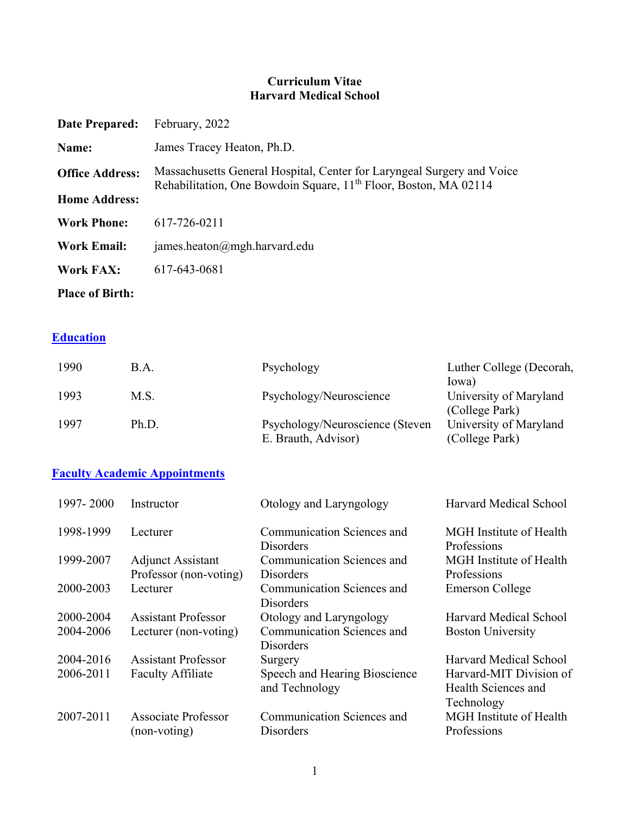### **Curriculum Vitae Harvard Medical School**

| Date Prepared:         | February, 2022                                                                                                                                         |
|------------------------|--------------------------------------------------------------------------------------------------------------------------------------------------------|
| Name:                  | James Tracey Heaton, Ph.D.                                                                                                                             |
| <b>Office Address:</b> | Massachusetts General Hospital, Center for Laryngeal Surgery and Voice<br>Rehabilitation, One Bowdoin Square, 11 <sup>th</sup> Floor, Boston, MA 02114 |
| <b>Home Address:</b>   |                                                                                                                                                        |
| <b>Work Phone:</b>     | 617-726-0211                                                                                                                                           |
| <b>Work Email:</b>     | james.heaton@mgh.harvard.edu                                                                                                                           |
| Work FAX:              | 617-643-0681                                                                                                                                           |
| <b>Place of Birth:</b> |                                                                                                                                                        |

## **Education**

| 1990 | B.A.  | Psychology                      | Luther College (Decorah,                 |
|------|-------|---------------------------------|------------------------------------------|
|      |       |                                 | Iowa)                                    |
| 1993 | M.S.  | Psychology/Neuroscience         | University of Maryland<br>(College Park) |
| 1997 | Ph.D. | Psychology/Neuroscience (Steven | University of Maryland                   |
|      |       | E. Brauth, Advisor)             | (College Park)                           |

### **Faculty Academic Appointments**

| 1997-2000 | Instructor                                         | Otology and Laryngology                         | <b>Harvard Medical School</b>                                |
|-----------|----------------------------------------------------|-------------------------------------------------|--------------------------------------------------------------|
| 1998-1999 | Lecturer                                           | Communication Sciences and<br><b>Disorders</b>  | <b>MGH</b> Institute of Health<br>Professions                |
| 1999-2007 | <b>Adjunct Assistant</b><br>Professor (non-voting) | Communication Sciences and<br><b>Disorders</b>  | MGH Institute of Health<br>Professions                       |
| 2000-2003 | Lecturer                                           | Communication Sciences and<br>Disorders         | Emerson College                                              |
| 2000-2004 | <b>Assistant Professor</b>                         | Otology and Laryngology                         | Harvard Medical School                                       |
| 2004-2006 | Lecturer (non-voting)                              | Communication Sciences and<br>Disorders         | <b>Boston University</b>                                     |
| 2004-2016 | <b>Assistant Professor</b>                         | Surgery                                         | <b>Harvard Medical School</b>                                |
| 2006-2011 | <b>Faculty Affiliate</b>                           | Speech and Hearing Bioscience<br>and Technology | Harvard-MIT Division of<br>Health Sciences and<br>Technology |
| 2007-2011 | <b>Associate Professor</b><br>(non-voting)         | Communication Sciences and<br><b>Disorders</b>  | <b>MGH</b> Institute of Health<br>Professions                |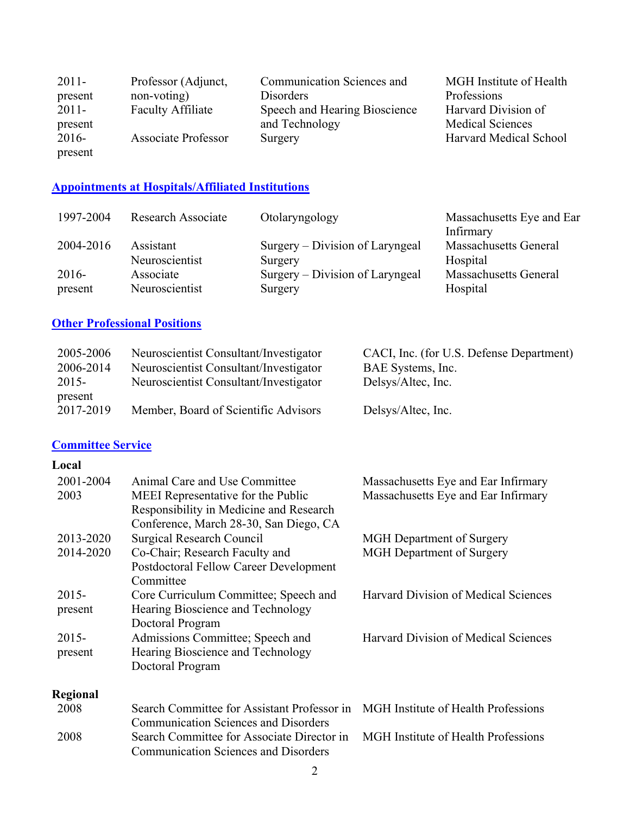| $2011 -$ | Professor (Adjunct,        | Communication Sciences and    | MGH Institute of Health |
|----------|----------------------------|-------------------------------|-------------------------|
| present  | non-voting)                | Disorders                     | Professions             |
| $2011 -$ | <b>Faculty Affiliate</b>   | Speech and Hearing Bioscience | Harvard Division of     |
| present  |                            | and Technology                | <b>Medical Sciences</b> |
| $2016-$  | <b>Associate Professor</b> | Surgery                       | Harvard Medical School  |
| present  |                            |                               |                         |

### **Appointments at Hospitals/Affiliated Institutions**

| 1997-2004 | <b>Research Associate</b> | Otolaryngology                  | Massachusetts Eye and Ear    |
|-----------|---------------------------|---------------------------------|------------------------------|
|           |                           |                                 | Infirmary                    |
| 2004-2016 | Assistant                 | Surgery – Division of Laryngeal | <b>Massachusetts General</b> |
|           | Neuroscientist            | Surgery                         | Hospital                     |
| $2016-$   | Associate                 | Surgery – Division of Laryngeal | <b>Massachusetts General</b> |
| present   | Neuroscientist            | Surgery                         | Hospital                     |

### **Other Professional Positions**

| 2005-2006 | Neuroscientist Consultant/Investigator | CACI, Inc. (for U.S. Defense Department) |
|-----------|----------------------------------------|------------------------------------------|
| 2006-2014 | Neuroscientist Consultant/Investigator | BAE Systems, Inc.                        |
| 2015-     | Neuroscientist Consultant/Investigator | Delsys/Altec, Inc.                       |
| present   |                                        |                                          |
| 2017-2019 | Member, Board of Scientific Advisors   | Delsys/Altec, Inc.                       |

### **Committee Service**

### **Local**

| 2001-2004<br>2003   | Animal Care and Use Committee<br>MEEI Representative for the Public<br>Responsibility in Medicine and Research<br>Conference, March 28-30, San Diego, CA | Massachusetts Eye and Ear Infirmary<br>Massachusetts Eye and Ear Infirmary |
|---------------------|----------------------------------------------------------------------------------------------------------------------------------------------------------|----------------------------------------------------------------------------|
| 2013-2020           | <b>Surgical Research Council</b>                                                                                                                         | <b>MGH</b> Department of Surgery                                           |
| 2014-2020           | Co-Chair; Research Faculty and<br>Postdoctoral Fellow Career Development<br>Committee                                                                    | <b>MGH</b> Department of Surgery                                           |
| 2015-<br>present    | Core Curriculum Committee; Speech and<br>Hearing Bioscience and Technology<br>Doctoral Program                                                           | <b>Harvard Division of Medical Sciences</b>                                |
| $2015 -$<br>present | Admissions Committee; Speech and<br>Hearing Bioscience and Technology<br>Doctoral Program                                                                | <b>Harvard Division of Medical Sciences</b>                                |
| Regional            |                                                                                                                                                          |                                                                            |
| 2008                | Search Committee for Assistant Professor in<br><b>Communication Sciences and Disorders</b>                                                               | <b>MGH</b> Institute of Health Professions                                 |
| 2008                | Search Committee for Associate Director in                                                                                                               | <b>MGH</b> Institute of Health Professions                                 |

Communication Sciences and Disorders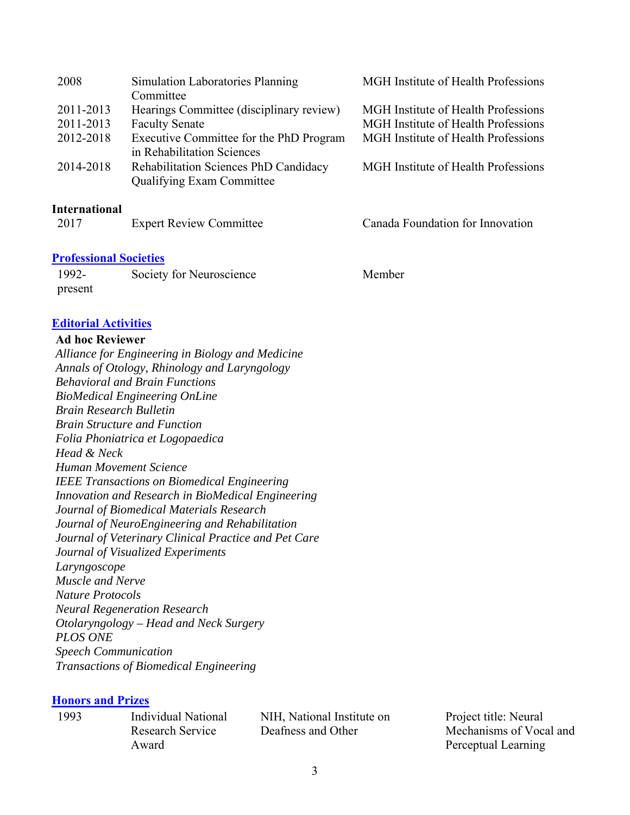| 2008      | <b>Simulation Laboratories Planning</b><br>Committee                             | MGH Institute of Health Professions        |
|-----------|----------------------------------------------------------------------------------|--------------------------------------------|
| 2011-2013 | Hearings Committee (disciplinary review)                                         | <b>MGH</b> Institute of Health Professions |
| 2011-2013 | <b>Faculty Senate</b>                                                            | <b>MGH</b> Institute of Health Professions |
| 2012-2018 | Executive Committee for the PhD Program<br>in Rehabilitation Sciences            | MGH Institute of Health Professions        |
| 2014-2018 | <b>Rehabilitation Sciences PhD Candidacy</b><br><b>Qualifying Exam Committee</b> | MGH Institute of Health Professions        |
|           |                                                                                  |                                            |

### **International**

| 2017 | <b>Expert Review Committee</b> |
|------|--------------------------------|
|------|--------------------------------|

#### **Professional Societies**

| 1992-   | Society for Neuroscience | Member |
|---------|--------------------------|--------|
| present |                          |        |

### **Editorial Activities**

#### **Ad hoc Reviewer**

*Alliance for Engineering in Biology and Medicine Annals of Otology, Rhinology and Laryngology Behavioral and Brain Functions BioMedical Engineering OnLine Brain Research Bulletin Brain Structure and Function Folia Phoniatrica et Logopaedica Head & Neck Human Movement Science IEEE Transactions on Biomedical Engineering Innovation and Research in BioMedical Engineering Journal of Biomedical Materials Research Journal of NeuroEngineering and Rehabilitation Journal of Veterinary Clinical Practice and Pet Care Journal of Visualized Experiments Laryngoscope Muscle and Nerve Nature Protocols Neural Regeneration Research Otolaryngology – Head and Neck Surgery PLOS ONE Speech Communication Transactions of Biomedical Engineering* 

#### **Honors and Prizes**

1993 Individual National Research Service Award

NIH, National Institute on Deafness and Other

Project title: Neural Mechanisms of Vocal and Perceptual Learning

Canada Foundation for Innovation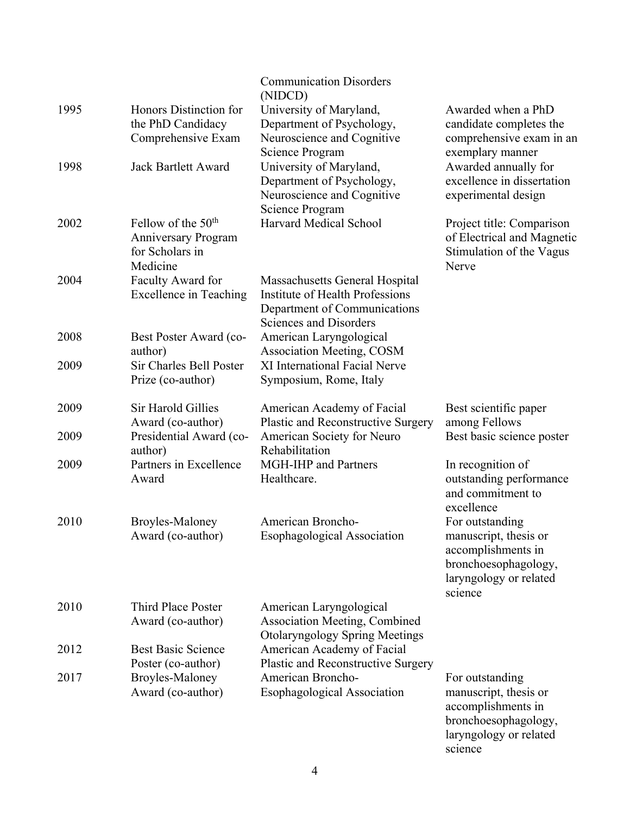|      |                                                    | <b>Communication Disorders</b>                                      |                                              |
|------|----------------------------------------------------|---------------------------------------------------------------------|----------------------------------------------|
|      |                                                    | (NIDCD)                                                             |                                              |
| 1995 | Honors Distinction for                             | University of Maryland,                                             | Awarded when a PhD                           |
|      | the PhD Candidacy                                  | Department of Psychology,                                           | candidate completes the                      |
|      | Comprehensive Exam                                 | Neuroscience and Cognitive<br>Science Program                       | comprehensive exam in an<br>exemplary manner |
| 1998 | <b>Jack Bartlett Award</b>                         | University of Maryland,                                             | Awarded annually for                         |
|      |                                                    | Department of Psychology,                                           | excellence in dissertation                   |
|      |                                                    | Neuroscience and Cognitive                                          | experimental design                          |
|      |                                                    | Science Program                                                     |                                              |
| 2002 | Fellow of the 50 <sup>th</sup>                     | <b>Harvard Medical School</b>                                       | Project title: Comparison                    |
|      | <b>Anniversary Program</b>                         |                                                                     | of Electrical and Magnetic                   |
|      | for Scholars in                                    |                                                                     | Stimulation of the Vagus                     |
|      | Medicine                                           |                                                                     | Nerve                                        |
| 2004 | Faculty Award for<br><b>Excellence in Teaching</b> | Massachusetts General Hospital<br>Institute of Health Professions   |                                              |
|      |                                                    | Department of Communications                                        |                                              |
|      |                                                    | Sciences and Disorders                                              |                                              |
| 2008 | Best Poster Award (co-                             | American Laryngological                                             |                                              |
|      | author)                                            | <b>Association Meeting, COSM</b>                                    |                                              |
| 2009 | Sir Charles Bell Poster                            | XI International Facial Nerve                                       |                                              |
|      | Prize (co-author)                                  | Symposium, Rome, Italy                                              |                                              |
| 2009 | <b>Sir Harold Gillies</b>                          | American Academy of Facial                                          | Best scientific paper                        |
|      | Award (co-author)                                  | Plastic and Reconstructive Surgery                                  | among Fellows                                |
| 2009 | Presidential Award (co-                            | American Society for Neuro                                          | Best basic science poster                    |
|      | author)                                            | Rehabilitation                                                      |                                              |
| 2009 | Partners in Excellence                             | MGH-IHP and Partners                                                | In recognition of                            |
|      | Award                                              | Healthcare.                                                         | outstanding performance                      |
|      |                                                    |                                                                     | and commitment to<br>excellence              |
| 2010 | Broyles-Maloney                                    | American Broncho-                                                   | For outstanding                              |
|      | Award (co-author)                                  | <b>Esophagological Association</b>                                  | manuscript, thesis or                        |
|      |                                                    |                                                                     | accomplishments in                           |
|      |                                                    |                                                                     | bronchoesophagology,                         |
|      |                                                    |                                                                     | laryngology or related                       |
|      |                                                    |                                                                     | science                                      |
| 2010 | <b>Third Place Poster</b>                          | American Laryngological                                             |                                              |
|      | Award (co-author)                                  | <b>Association Meeting, Combined</b>                                |                                              |
| 2012 | <b>Best Basic Science</b>                          | <b>Otolaryngology Spring Meetings</b><br>American Academy of Facial |                                              |
|      | Poster (co-author)                                 | Plastic and Reconstructive Surgery                                  |                                              |
| 2017 | Broyles-Maloney                                    | American Broncho-                                                   | For outstanding                              |
|      | Award (co-author)                                  | <b>Esophagological Association</b>                                  | manuscript, thesis or                        |
|      |                                                    |                                                                     | accomplishments in                           |
|      |                                                    |                                                                     | bronchoesophagology,                         |

laryngology or related

science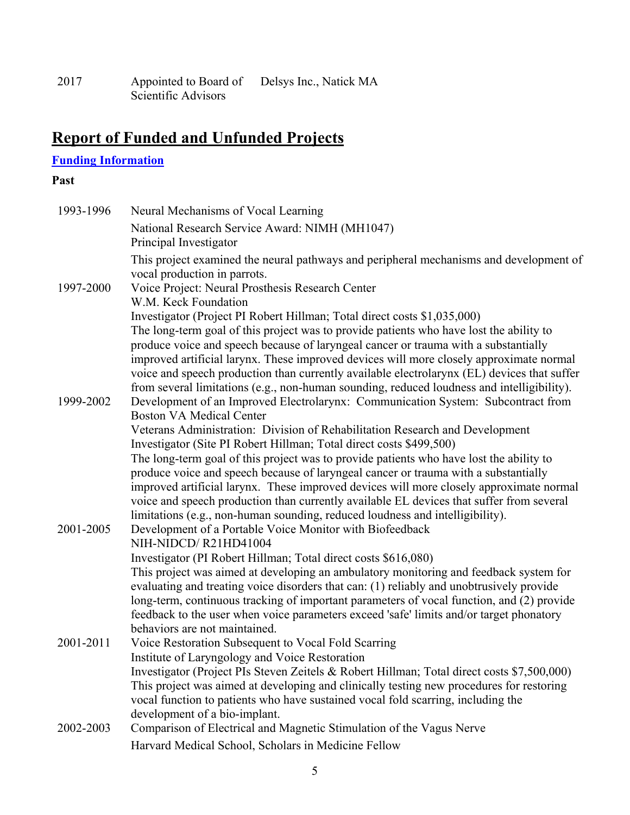| 2017 | Appointed to Board of | Delsys Inc., Natick MA |
|------|-----------------------|------------------------|
|      | Scientific Advisors   |                        |

# **Report of Funded and Unfunded Projects**

## **Funding Information**

### **Past**

| 1993-1996 | Neural Mechanisms of Vocal Learning                                                                                                                                                       |
|-----------|-------------------------------------------------------------------------------------------------------------------------------------------------------------------------------------------|
|           | National Research Service Award: NIMH (MH1047)<br>Principal Investigator                                                                                                                  |
|           | This project examined the neural pathways and peripheral mechanisms and development of<br>vocal production in parrots.                                                                    |
| 1997-2000 | Voice Project: Neural Prosthesis Research Center                                                                                                                                          |
|           | W.M. Keck Foundation<br>Investigator (Project PI Robert Hillman; Total direct costs \$1,035,000)                                                                                          |
|           | The long-term goal of this project was to provide patients who have lost the ability to                                                                                                   |
|           | produce voice and speech because of laryngeal cancer or trauma with a substantially                                                                                                       |
|           | improved artificial larynx. These improved devices will more closely approximate normal                                                                                                   |
|           | voice and speech production than currently available electrolarynx (EL) devices that suffer<br>from several limitations (e.g., non-human sounding, reduced loudness and intelligibility). |
| 1999-2002 | Development of an Improved Electrolarynx: Communication System: Subcontract from                                                                                                          |
|           | <b>Boston VA Medical Center</b>                                                                                                                                                           |
|           | Veterans Administration: Division of Rehabilitation Research and Development<br>Investigator (Site PI Robert Hillman; Total direct costs \$499,500)                                       |
|           | The long-term goal of this project was to provide patients who have lost the ability to                                                                                                   |
|           | produce voice and speech because of laryngeal cancer or trauma with a substantially                                                                                                       |
|           | improved artificial larynx. These improved devices will more closely approximate normal<br>voice and speech production than currently available EL devices that suffer from several       |
|           | limitations (e.g., non-human sounding, reduced loudness and intelligibility).                                                                                                             |
| 2001-2005 | Development of a Portable Voice Monitor with Biofeedback                                                                                                                                  |
|           | NIH-NIDCD/R21HD41004                                                                                                                                                                      |
|           | Investigator (PI Robert Hillman; Total direct costs \$616,080)<br>This project was aimed at developing an ambulatory monitoring and feedback system for                                   |
|           | evaluating and treating voice disorders that can: (1) reliably and unobtrusively provide<br>long-term, continuous tracking of important parameters of vocal function, and (2) provide     |
|           | feedback to the user when voice parameters exceed 'safe' limits and/or target phonatory                                                                                                   |
|           | behaviors are not maintained.                                                                                                                                                             |
| 2001-2011 | Voice Restoration Subsequent to Vocal Fold Scarring                                                                                                                                       |
|           | Institute of Laryngology and Voice Restoration                                                                                                                                            |
|           | Investigator (Project PIs Steven Zeitels & Robert Hillman; Total direct costs \$7,500,000)                                                                                                |
|           | This project was aimed at developing and clinically testing new procedures for restoring                                                                                                  |
|           | vocal function to patients who have sustained vocal fold scarring, including the<br>development of a bio-implant.                                                                         |
| 2002-2003 | Comparison of Electrical and Magnetic Stimulation of the Vagus Nerve                                                                                                                      |
|           | Harvard Medical School, Scholars in Medicine Fellow                                                                                                                                       |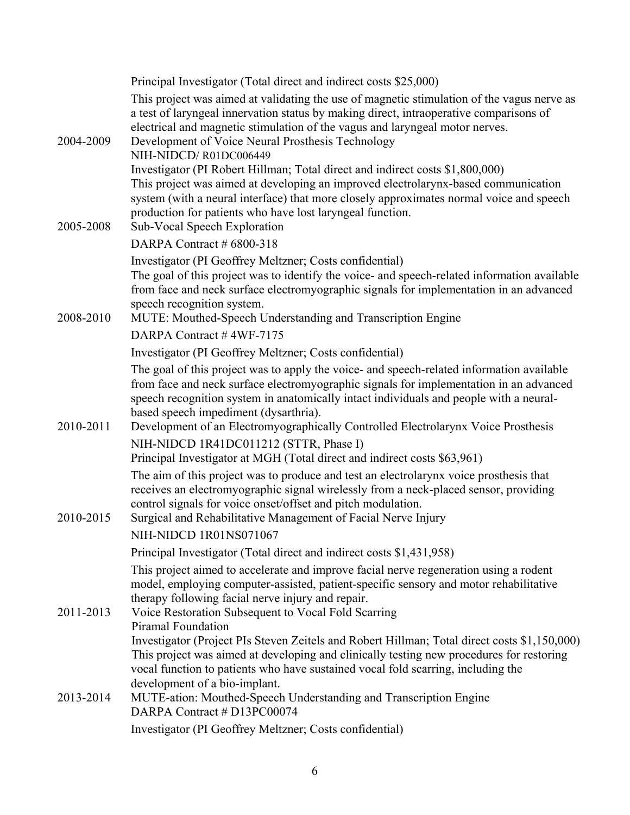|           | Principal Investigator (Total direct and indirect costs \$25,000)                                                                                                                                                                                                                                                                                                                                                 |
|-----------|-------------------------------------------------------------------------------------------------------------------------------------------------------------------------------------------------------------------------------------------------------------------------------------------------------------------------------------------------------------------------------------------------------------------|
| 2004-2009 | This project was aimed at validating the use of magnetic stimulation of the vagus nerve as<br>a test of laryngeal innervation status by making direct, intraoperative comparisons of<br>electrical and magnetic stimulation of the vagus and laryngeal motor nerves.<br>Development of Voice Neural Prosthesis Technology<br>NIH-NIDCD/R01DC006449                                                                |
| 2005-2008 | Investigator (PI Robert Hillman; Total direct and indirect costs \$1,800,000)<br>This project was aimed at developing an improved electrolarynx-based communication<br>system (with a neural interface) that more closely approximates normal voice and speech<br>production for patients who have lost laryngeal function.<br>Sub-Vocal Speech Exploration                                                       |
|           | DARPA Contract # 6800-318                                                                                                                                                                                                                                                                                                                                                                                         |
| 2008-2010 | Investigator (PI Geoffrey Meltzner; Costs confidential)<br>The goal of this project was to identify the voice- and speech-related information available<br>from face and neck surface electromyographic signals for implementation in an advanced<br>speech recognition system.<br>MUTE: Mouthed-Speech Understanding and Transcription Engine                                                                    |
|           | DARPA Contract #4WF-7175                                                                                                                                                                                                                                                                                                                                                                                          |
|           | Investigator (PI Geoffrey Meltzner; Costs confidential)                                                                                                                                                                                                                                                                                                                                                           |
| 2010-2011 | The goal of this project was to apply the voice- and speech-related information available<br>from face and neck surface electromyographic signals for implementation in an advanced<br>speech recognition system in anatomically intact individuals and people with a neural-<br>based speech impediment (dysarthria).<br>Development of an Electromyographically Controlled Electrolarynx Voice Prosthesis       |
|           | NIH-NIDCD 1R41DC011212 (STTR, Phase I)<br>Principal Investigator at MGH (Total direct and indirect costs \$63,961)                                                                                                                                                                                                                                                                                                |
| 2010-2015 | The aim of this project was to produce and test an electrolarynx voice prosthesis that<br>receives an electromyographic signal wirelessly from a neck-placed sensor, providing<br>control signals for voice onset/offset and pitch modulation.<br>Surgical and Rehabilitative Management of Facial Nerve Injury<br>NIH-NIDCD 1R01NS071067                                                                         |
|           | Principal Investigator (Total direct and indirect costs \$1,431,958)                                                                                                                                                                                                                                                                                                                                              |
| 2011-2013 | This project aimed to accelerate and improve facial nerve regeneration using a rodent<br>model, employing computer-assisted, patient-specific sensory and motor rehabilitative<br>therapy following facial nerve injury and repair.<br>Voice Restoration Subsequent to Vocal Fold Scarring<br><b>Piramal Foundation</b>                                                                                           |
| 2013-2014 | Investigator (Project PIs Steven Zeitels and Robert Hillman; Total direct costs \$1,150,000)<br>This project was aimed at developing and clinically testing new procedures for restoring<br>vocal function to patients who have sustained vocal fold scarring, including the<br>development of a bio-implant.<br>MUTE-ation: Mouthed-Speech Understanding and Transcription Engine<br>DARPA Contract # D13PC00074 |
|           | Investigator (PI Geoffrey Meltzner; Costs confidential)                                                                                                                                                                                                                                                                                                                                                           |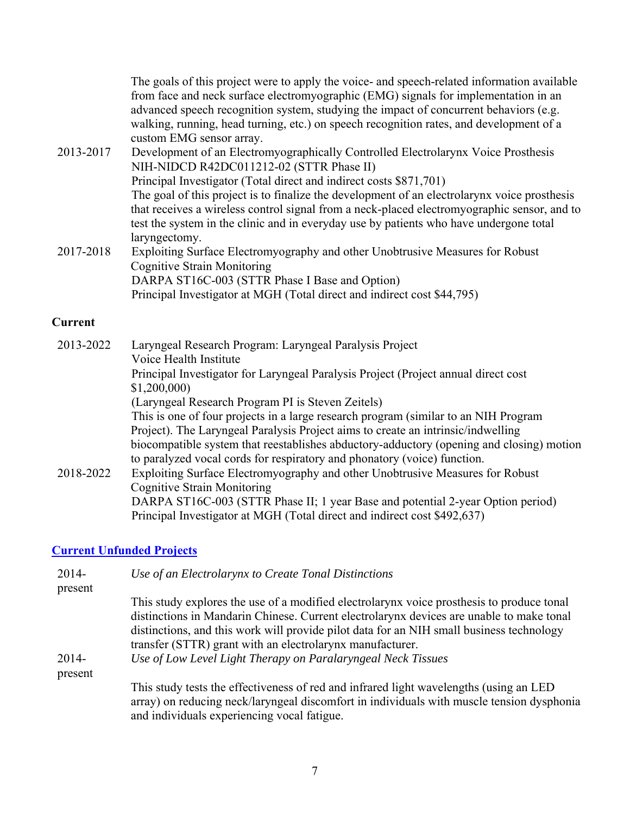|           | The goals of this project were to apply the voice- and speech-related information available<br>from face and neck surface electromyographic (EMG) signals for implementation in an<br>advanced speech recognition system, studying the impact of concurrent behaviors (e.g.<br>walking, running, head turning, etc.) on speech recognition rates, and development of a<br>custom EMG sensor array. |
|-----------|----------------------------------------------------------------------------------------------------------------------------------------------------------------------------------------------------------------------------------------------------------------------------------------------------------------------------------------------------------------------------------------------------|
| 2013-2017 | Development of an Electromyographically Controlled Electrolarynx Voice Prosthesis                                                                                                                                                                                                                                                                                                                  |
|           | NIH-NIDCD R42DC011212-02 (STTR Phase II)                                                                                                                                                                                                                                                                                                                                                           |
|           | Principal Investigator (Total direct and indirect costs \$871,701)                                                                                                                                                                                                                                                                                                                                 |
|           | The goal of this project is to finalize the development of an electrolarynx voice prosthesis<br>that receives a wireless control signal from a neck-placed electromyographic sensor, and to<br>test the system in the clinic and in everyday use by patients who have undergone total<br>laryngectomy.                                                                                             |
| 2017-2018 | Exploiting Surface Electromyography and other Unobtrusive Measures for Robust                                                                                                                                                                                                                                                                                                                      |
|           | <b>Cognitive Strain Monitoring</b>                                                                                                                                                                                                                                                                                                                                                                 |
|           | DARPA ST16C-003 (STTR Phase I Base and Option)                                                                                                                                                                                                                                                                                                                                                     |
|           | Principal Investigator at MGH (Total direct and indirect cost \$44,795)                                                                                                                                                                                                                                                                                                                            |
|           |                                                                                                                                                                                                                                                                                                                                                                                                    |

### **Current**

| 2013-2022 | Laryngeal Research Program: Laryngeal Paralysis Project                                  |
|-----------|------------------------------------------------------------------------------------------|
|           | Voice Health Institute                                                                   |
|           | Principal Investigator for Laryngeal Paralysis Project (Project annual direct cost       |
|           | \$1,200,000                                                                              |
|           | (Laryngeal Research Program PI is Steven Zeitels)                                        |
|           | This is one of four projects in a large research program (similar to an NIH Program      |
|           | Project). The Laryngeal Paralysis Project aims to create an intrinsic/indwelling         |
|           | biocompatible system that reestablishes abductory-adductory (opening and closing) motion |
|           | to paralyzed vocal cords for respiratory and phonatory (voice) function.                 |
| 2018-2022 | Exploiting Surface Electromyography and other Unobtrusive Measures for Robust            |
|           | <b>Cognitive Strain Monitoring</b>                                                       |
|           | DARPA ST16C-003 (STTR Phase II; 1 year Base and potential 2-year Option period)          |
|           | Principal Investigator at MGH (Total direct and indirect cost \$492,637)                 |

## **Current Unfunded Projects**

| $2014-$            | Use of an Electrolarynx to Create Tonal Distinctions                                                                                                                                                                               |
|--------------------|------------------------------------------------------------------------------------------------------------------------------------------------------------------------------------------------------------------------------------|
| present            | This study explores the use of a modified electrolarynx voice prosthesis to produce tonal                                                                                                                                          |
|                    | distinctions in Mandarin Chinese. Current electrolarynx devices are unable to make tonal                                                                                                                                           |
|                    | distinctions, and this work will provide pilot data for an NIH small business technology                                                                                                                                           |
|                    | transfer (STTR) grant with an electrolarynx manufacturer.                                                                                                                                                                          |
| $2014-$<br>present | Use of Low Level Light Therapy on Paralaryngeal Neck Tissues                                                                                                                                                                       |
|                    | This study tests the effectiveness of red and infrared light wavelengths (using an LED<br>array) on reducing neck/laryngeal discomfort in individuals with muscle tension dysphonia<br>and individuals experiencing vocal fatigue. |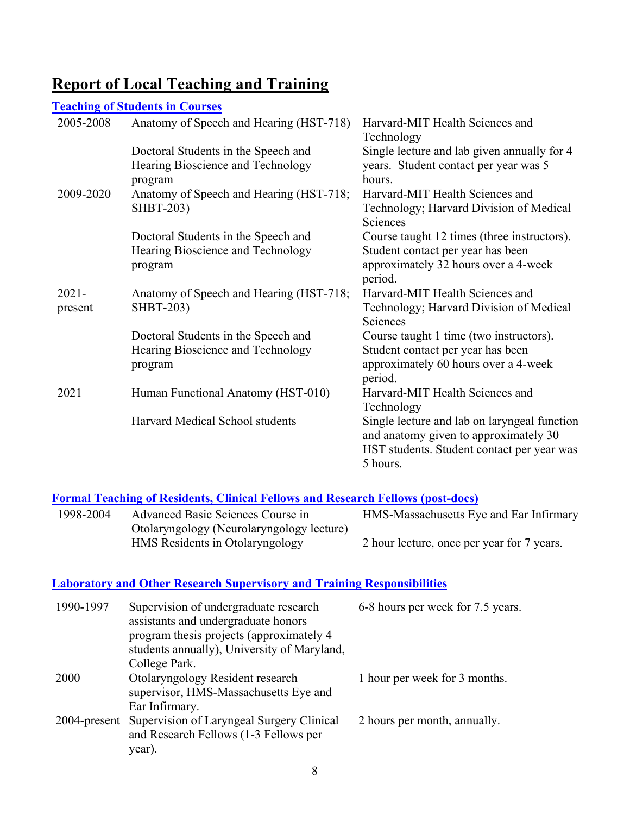## **Report of Local Teaching and Training**

#### **Teaching of Students in Courses**  2005-2008 Anatomy of Speech and Hearing (HST-718) Harvard-MIT Health Sciences and Technology Doctoral Students in the Speech and Hearing Bioscience and Technology program Single lecture and lab given annually for 4 years. Student contact per year was 5 hours. 2009-2020 Anatomy of Speech and Hearing (HST-718; SHBT-203) Harvard-MIT Health Sciences and Technology; Harvard Division of Medical Sciences Doctoral Students in the Speech and Hearing Bioscience and Technology program Course taught 12 times (three instructors). Student contact per year has been approximately 32 hours over a 4-week period. 2021 present Anatomy of Speech and Hearing (HST-718; SHBT-203) Harvard-MIT Health Sciences and Technology; Harvard Division of Medical Sciences Doctoral Students in the Speech and Hearing Bioscience and Technology program Course taught 1 time (two instructors). Student contact per year has been approximately 60 hours over a 4-week period. 2021 Human Functional Anatomy (HST-010) Harvard-MIT Health Sciences and Technology Harvard Medical School students Single lecture and lab on laryngeal function and anatomy given to approximately 30 HST students. Student contact per year was 5 hours.

### **Formal Teaching of Residents, Clinical Fellows and Research Fellows (post-docs)**

| 1998-2004 | Advanced Basic Sciences Course in         | HMS-Massachusetts Eye and Ear Infirmary    |
|-----------|-------------------------------------------|--------------------------------------------|
|           | Otolaryngology (Neurolaryngology lecture) |                                            |
|           | HMS Residents in Otolaryngology           | 2 hour lecture, once per year for 7 years. |

### **Laboratory and Other Research Supervisory and Training Responsibilities**

| 1990-1997   | Supervision of undergraduate research<br>assistants and undergraduate honors<br>program thesis projects (approximately 4)<br>students annually), University of Maryland,<br>College Park. | 6-8 hours per week for 7.5 years. |
|-------------|-------------------------------------------------------------------------------------------------------------------------------------------------------------------------------------------|-----------------------------------|
| <b>2000</b> | Otolaryngology Resident research<br>supervisor, HMS-Massachusetts Eye and<br>Ear Infirmary.                                                                                               | 1 hour per week for 3 months.     |
|             | 2004-present Supervision of Laryngeal Surgery Clinical<br>and Research Fellows (1-3 Fellows per<br>year).                                                                                 | 2 hours per month, annually.      |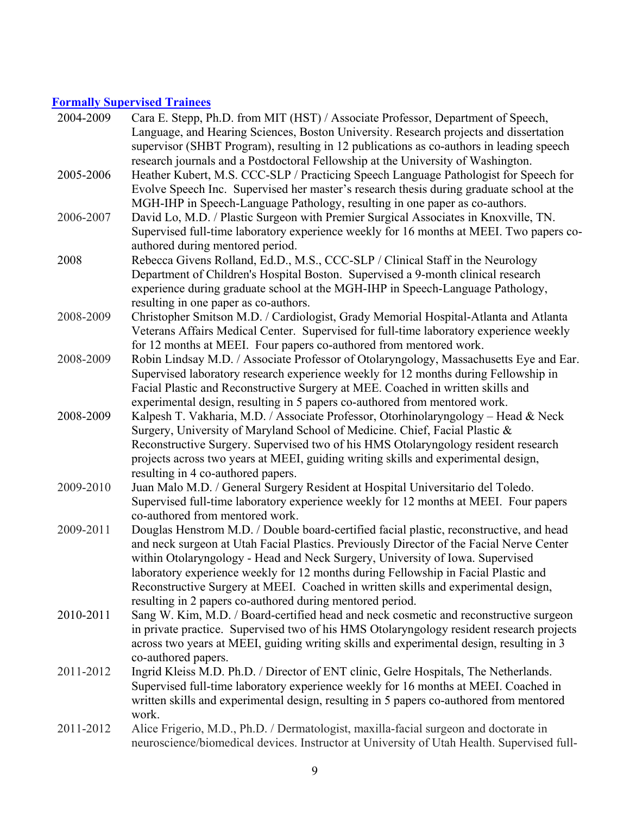## **Formally Supervised Trainees**

| 2004-2009 | Cara E. Stepp, Ph.D. from MIT (HST) / Associate Professor, Department of Speech,<br>Language, and Hearing Sciences, Boston University. Research projects and dissertation   |
|-----------|-----------------------------------------------------------------------------------------------------------------------------------------------------------------------------|
|           | supervisor (SHBT Program), resulting in 12 publications as co-authors in leading speech<br>research journals and a Postdoctoral Fellowship at the University of Washington. |
| 2005-2006 | Heather Kubert, M.S. CCC-SLP / Practicing Speech Language Pathologist for Speech for                                                                                        |
|           | Evolve Speech Inc. Supervised her master's research thesis during graduate school at the                                                                                    |
|           | MGH-IHP in Speech-Language Pathology, resulting in one paper as co-authors.                                                                                                 |
| 2006-2007 | David Lo, M.D. / Plastic Surgeon with Premier Surgical Associates in Knoxville, TN.                                                                                         |
|           | Supervised full-time laboratory experience weekly for 16 months at MEEI. Two papers co-                                                                                     |
|           | authored during mentored period.                                                                                                                                            |
| 2008      | Rebecca Givens Rolland, Ed.D., M.S., CCC-SLP / Clinical Staff in the Neurology                                                                                              |
|           | Department of Children's Hospital Boston. Supervised a 9-month clinical research                                                                                            |
|           | experience during graduate school at the MGH-IHP in Speech-Language Pathology,<br>resulting in one paper as co-authors.                                                     |
| 2008-2009 | Christopher Smitson M.D. / Cardiologist, Grady Memorial Hospital-Atlanta and Atlanta                                                                                        |
|           | Veterans Affairs Medical Center. Supervised for full-time laboratory experience weekly                                                                                      |
|           | for 12 months at MEEI. Four papers co-authored from mentored work.                                                                                                          |
| 2008-2009 | Robin Lindsay M.D. / Associate Professor of Otolaryngology, Massachusetts Eye and Ear.                                                                                      |
|           | Supervised laboratory research experience weekly for 12 months during Fellowship in                                                                                         |
|           | Facial Plastic and Reconstructive Surgery at MEE. Coached in written skills and                                                                                             |
|           | experimental design, resulting in 5 papers co-authored from mentored work.                                                                                                  |
| 2008-2009 | Kalpesh T. Vakharia, M.D. / Associate Professor, Otorhinolaryngology – Head & Neck                                                                                          |
|           | Surgery, University of Maryland School of Medicine. Chief, Facial Plastic &                                                                                                 |
|           | Reconstructive Surgery. Supervised two of his HMS Otolaryngology resident research                                                                                          |
|           | projects across two years at MEEI, guiding writing skills and experimental design,<br>resulting in 4 co-authored papers.                                                    |
| 2009-2010 | Juan Malo M.D. / General Surgery Resident at Hospital Universitario del Toledo.                                                                                             |
|           | Supervised full-time laboratory experience weekly for 12 months at MEEI. Four papers                                                                                        |
|           | co-authored from mentored work.                                                                                                                                             |
| 2009-2011 | Douglas Henstrom M.D. / Double board-certified facial plastic, reconstructive, and head                                                                                     |
|           | and neck surgeon at Utah Facial Plastics. Previously Director of the Facial Nerve Center                                                                                    |
|           | within Otolaryngology - Head and Neck Surgery, University of Iowa. Supervised                                                                                               |
|           | laboratory experience weekly for 12 months during Fellowship in Facial Plastic and                                                                                          |
|           | Reconstructive Surgery at MEEI. Coached in written skills and experimental design,                                                                                          |
|           | resulting in 2 papers co-authored during mentored period.                                                                                                                   |
| 2010-2011 | Sang W. Kim, M.D. / Board-certified head and neck cosmetic and reconstructive surgeon                                                                                       |
|           | in private practice. Supervised two of his HMS Otolaryngology resident research projects                                                                                    |
|           | across two years at MEEI, guiding writing skills and experimental design, resulting in 3<br>co-authored papers.                                                             |
| 2011-2012 | Ingrid Kleiss M.D. Ph.D. / Director of ENT clinic, Gelre Hospitals, The Netherlands.                                                                                        |
|           | Supervised full-time laboratory experience weekly for 16 months at MEEI. Coached in                                                                                         |
|           | written skills and experimental design, resulting in 5 papers co-authored from mentored                                                                                     |
|           | work.                                                                                                                                                                       |
| 2011-2012 | Alice Frigerio, M.D., Ph.D. / Dermatologist, maxilla-facial surgeon and doctorate in                                                                                        |
|           | neuroscience/biomedical devices. Instructor at University of Utah Health. Supervised full-                                                                                  |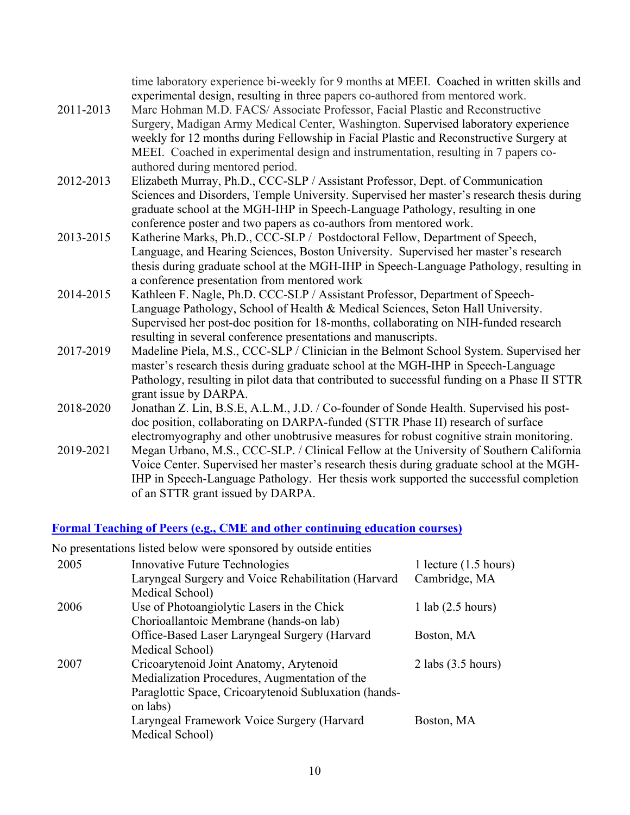| 2011-2013 | time laboratory experience bi-weekly for 9 months at MEEI. Coached in written skills and<br>experimental design, resulting in three papers co-authored from mentored work.<br>Marc Hohman M.D. FACS/ Associate Professor, Facial Plastic and Reconstructive<br>Surgery, Madigan Army Medical Center, Washington. Supervised laboratory experience<br>weekly for 12 months during Fellowship in Facial Plastic and Reconstructive Surgery at<br>MEEI. Coached in experimental design and instrumentation, resulting in 7 papers co- |
|-----------|------------------------------------------------------------------------------------------------------------------------------------------------------------------------------------------------------------------------------------------------------------------------------------------------------------------------------------------------------------------------------------------------------------------------------------------------------------------------------------------------------------------------------------|
|           | authored during mentored period.                                                                                                                                                                                                                                                                                                                                                                                                                                                                                                   |
| 2012-2013 | Elizabeth Murray, Ph.D., CCC-SLP / Assistant Professor, Dept. of Communication<br>Sciences and Disorders, Temple University. Supervised her master's research thesis during<br>graduate school at the MGH-IHP in Speech-Language Pathology, resulting in one<br>conference poster and two papers as co-authors from mentored work.                                                                                                                                                                                                 |
| 2013-2015 | Katherine Marks, Ph.D., CCC-SLP / Postdoctoral Fellow, Department of Speech,                                                                                                                                                                                                                                                                                                                                                                                                                                                       |
|           | Language, and Hearing Sciences, Boston University. Supervised her master's research<br>thesis during graduate school at the MGH-IHP in Speech-Language Pathology, resulting in<br>a conference presentation from mentored work                                                                                                                                                                                                                                                                                                     |
| 2014-2015 | Kathleen F. Nagle, Ph.D. CCC-SLP / Assistant Professor, Department of Speech-                                                                                                                                                                                                                                                                                                                                                                                                                                                      |
|           | Language Pathology, School of Health & Medical Sciences, Seton Hall University.                                                                                                                                                                                                                                                                                                                                                                                                                                                    |
|           | Supervised her post-doc position for 18-months, collaborating on NIH-funded research<br>resulting in several conference presentations and manuscripts.                                                                                                                                                                                                                                                                                                                                                                             |
| 2017-2019 | Madeline Piela, M.S., CCC-SLP / Clinician in the Belmont School System. Supervised her                                                                                                                                                                                                                                                                                                                                                                                                                                             |
|           | master's research thesis during graduate school at the MGH-IHP in Speech-Language                                                                                                                                                                                                                                                                                                                                                                                                                                                  |
|           | Pathology, resulting in pilot data that contributed to successful funding on a Phase II STTR<br>grant issue by DARPA.                                                                                                                                                                                                                                                                                                                                                                                                              |
| 2018-2020 | Jonathan Z. Lin, B.S.E, A.L.M., J.D. / Co-founder of Sonde Health. Supervised his post-                                                                                                                                                                                                                                                                                                                                                                                                                                            |
|           | doc position, collaborating on DARPA-funded (STTR Phase II) research of surface                                                                                                                                                                                                                                                                                                                                                                                                                                                    |
|           | electromyography and other unobtrusive measures for robust cognitive strain monitoring.                                                                                                                                                                                                                                                                                                                                                                                                                                            |
| 2019-2021 | Megan Urbano, M.S., CCC-SLP. / Clinical Fellow at the University of Southern California                                                                                                                                                                                                                                                                                                                                                                                                                                            |
|           | Voice Center. Supervised her master's research thesis during graduate school at the MGH-<br>IHP in Speech-Language Pathology. Her thesis work supported the successful completion<br>of an STTR grant issued by DARPA.                                                                                                                                                                                                                                                                                                             |

### **Formal Teaching of Peers (e.g., CME and other continuing education courses)**

No presentations listed below were sponsored by outside entities

| 2005 | Innovative Future Technologies                        | 1 lecture $(1.5 \text{ hours})$ |
|------|-------------------------------------------------------|---------------------------------|
|      | Laryngeal Surgery and Voice Rehabilitation (Harvard   | Cambridge, MA                   |
|      | Medical School)                                       |                                 |
| 2006 | Use of Photoangiolytic Lasers in the Chick            | $1$ lab $(2.5$ hours)           |
|      | Chorioallantoic Membrane (hands-on lab)               |                                 |
|      | Office-Based Laser Laryngeal Surgery (Harvard         | Boston, MA                      |
|      | Medical School)                                       |                                 |
| 2007 | Cricoarytenoid Joint Anatomy, Arytenoid               | $2$ labs $(3.5$ hours)          |
|      | Medialization Procedures, Augmentation of the         |                                 |
|      | Paraglottic Space, Cricoarytenoid Subluxation (hands- |                                 |
|      | on labs)                                              |                                 |
|      | Laryngeal Framework Voice Surgery (Harvard            | Boston, MA                      |
|      | Medical School)                                       |                                 |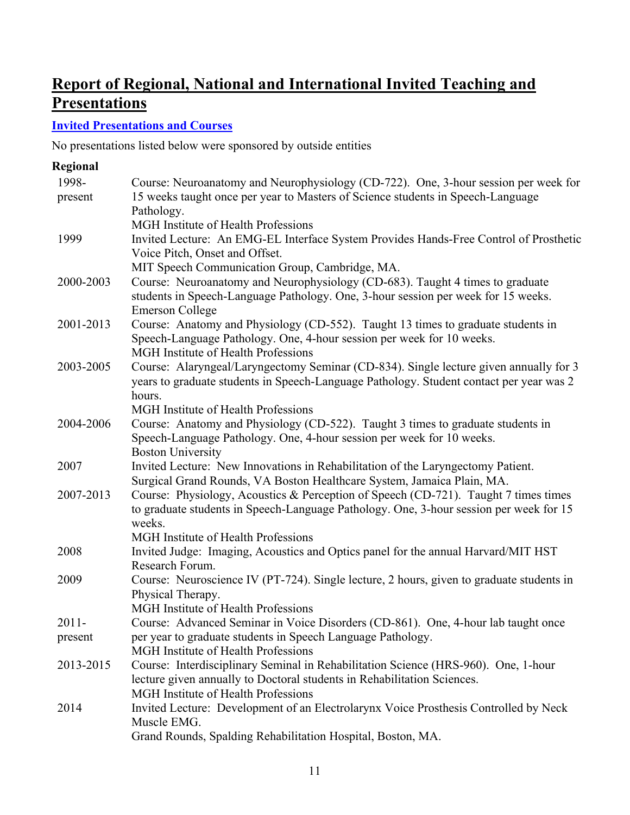## **Report of Regional, National and International Invited Teaching and Presentations**

### **Invited Presentations and Courses**

No presentations listed below were sponsored by outside entities

| Regional  |                                                                                                                                                                                              |
|-----------|----------------------------------------------------------------------------------------------------------------------------------------------------------------------------------------------|
| 1998-     | Course: Neuroanatomy and Neurophysiology (CD-722). One, 3-hour session per week for                                                                                                          |
| present   | 15 weeks taught once per year to Masters of Science students in Speech-Language<br>Pathology.                                                                                                |
|           | MGH Institute of Health Professions                                                                                                                                                          |
| 1999      | Invited Lecture: An EMG-EL Interface System Provides Hands-Free Control of Prosthetic<br>Voice Pitch, Onset and Offset.                                                                      |
|           | MIT Speech Communication Group, Cambridge, MA.                                                                                                                                               |
| 2000-2003 | Course: Neuroanatomy and Neurophysiology (CD-683). Taught 4 times to graduate<br>students in Speech-Language Pathology. One, 3-hour session per week for 15 weeks.<br><b>Emerson College</b> |
| 2001-2013 | Course: Anatomy and Physiology (CD-552). Taught 13 times to graduate students in                                                                                                             |
|           | Speech-Language Pathology. One, 4-hour session per week for 10 weeks.<br>MGH Institute of Health Professions                                                                                 |
| 2003-2005 | Course: Alaryngeal/Laryngectomy Seminar (CD-834). Single lecture given annually for 3<br>years to graduate students in Speech-Language Pathology. Student contact per year was 2<br>hours.   |
|           | <b>MGH</b> Institute of Health Professions                                                                                                                                                   |
| 2004-2006 | Course: Anatomy and Physiology (CD-522). Taught 3 times to graduate students in                                                                                                              |
|           | Speech-Language Pathology. One, 4-hour session per week for 10 weeks.                                                                                                                        |
| 2007      | <b>Boston University</b>                                                                                                                                                                     |
|           | Invited Lecture: New Innovations in Rehabilitation of the Laryngectomy Patient.<br>Surgical Grand Rounds, VA Boston Healthcare System, Jamaica Plain, MA.                                    |
| 2007-2013 | Course: Physiology, Acoustics & Perception of Speech (CD-721). Taught 7 times times<br>to graduate students in Speech-Language Pathology. One, 3-hour session per week for 15                |
|           | weeks.                                                                                                                                                                                       |
|           | <b>MGH</b> Institute of Health Professions                                                                                                                                                   |
| 2008      | Invited Judge: Imaging, Acoustics and Optics panel for the annual Harvard/MIT HST<br>Research Forum.                                                                                         |
| 2009      | Course: Neuroscience IV (PT-724). Single lecture, 2 hours, given to graduate students in<br>Physical Therapy.                                                                                |
|           | MGH Institute of Health Professions                                                                                                                                                          |
| $2011 -$  | Course: Advanced Seminar in Voice Disorders (CD-861). One, 4-hour lab taught once                                                                                                            |
| present   | per year to graduate students in Speech Language Pathology.                                                                                                                                  |
|           | MGH Institute of Health Professions                                                                                                                                                          |
| 2013-2015 | Course: Interdisciplinary Seminal in Rehabilitation Science (HRS-960). One, 1-hour                                                                                                           |
|           | lecture given annually to Doctoral students in Rehabilitation Sciences.                                                                                                                      |
|           | <b>MGH</b> Institute of Health Professions                                                                                                                                                   |
| 2014      | Invited Lecture: Development of an Electrolarynx Voice Prosthesis Controlled by Neck<br>Muscle EMG.                                                                                          |
|           | Grand Rounds, Spalding Rehabilitation Hospital, Boston, MA.                                                                                                                                  |
|           |                                                                                                                                                                                              |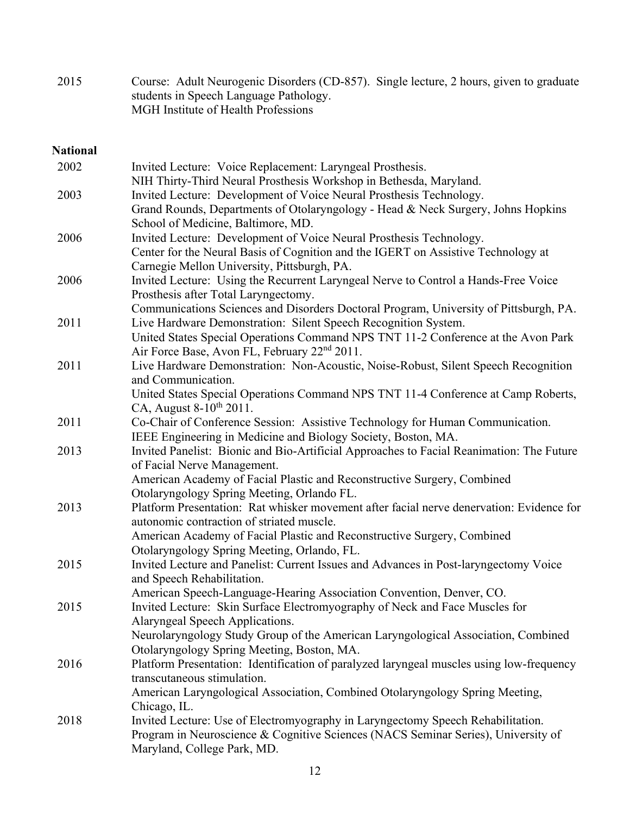2015 Course: Adult Neurogenic Disorders (CD-857). Single lecture, 2 hours, given to graduate students in Speech Language Pathology. MGH Institute of Health Professions

### **National**

| 2002 | Invited Lecture: Voice Replacement: Laryngeal Prosthesis.<br>NIH Thirty-Third Neural Prosthesis Workshop in Bethesda, Maryland.                                                                                     |
|------|---------------------------------------------------------------------------------------------------------------------------------------------------------------------------------------------------------------------|
| 2003 | Invited Lecture: Development of Voice Neural Prosthesis Technology.<br>Grand Rounds, Departments of Otolaryngology - Head & Neck Surgery, Johns Hopkins<br>School of Medicine, Baltimore, MD.                       |
| 2006 | Invited Lecture: Development of Voice Neural Prosthesis Technology.<br>Center for the Neural Basis of Cognition and the IGERT on Assistive Technology at<br>Carnegie Mellon University, Pittsburgh, PA.             |
| 2006 | Invited Lecture: Using the Recurrent Laryngeal Nerve to Control a Hands-Free Voice<br>Prosthesis after Total Laryngectomy.<br>Communications Sciences and Disorders Doctoral Program, University of Pittsburgh, PA. |
| 2011 | Live Hardware Demonstration: Silent Speech Recognition System.<br>United States Special Operations Command NPS TNT 11-2 Conference at the Avon Park<br>Air Force Base, Avon FL, February 22 <sup>nd</sup> 2011.     |
| 2011 | Live Hardware Demonstration: Non-Acoustic, Noise-Robust, Silent Speech Recognition<br>and Communication.                                                                                                            |
|      | United States Special Operations Command NPS TNT 11-4 Conference at Camp Roberts,<br>CA, August $8-10^{th}$ 2011.                                                                                                   |
| 2011 | Co-Chair of Conference Session: Assistive Technology for Human Communication.<br>IEEE Engineering in Medicine and Biology Society, Boston, MA.                                                                      |
| 2013 | Invited Panelist: Bionic and Bio-Artificial Approaches to Facial Reanimation: The Future<br>of Facial Nerve Management.                                                                                             |
|      | American Academy of Facial Plastic and Reconstructive Surgery, Combined<br>Otolaryngology Spring Meeting, Orlando FL.                                                                                               |
| 2013 | Platform Presentation: Rat whisker movement after facial nerve denervation: Evidence for<br>autonomic contraction of striated muscle.                                                                               |
|      | American Academy of Facial Plastic and Reconstructive Surgery, Combined<br>Otolaryngology Spring Meeting, Orlando, FL.                                                                                              |
| 2015 | Invited Lecture and Panelist: Current Issues and Advances in Post-laryngectomy Voice<br>and Speech Rehabilitation.                                                                                                  |
| 2015 | American Speech-Language-Hearing Association Convention, Denver, CO.<br>Invited Lecture: Skin Surface Electromyography of Neck and Face Muscles for<br>Alaryngeal Speech Applications.                              |
|      | Neurolaryngology Study Group of the American Laryngological Association, Combined<br>Otolaryngology Spring Meeting, Boston, MA.                                                                                     |
| 2016 | Platform Presentation: Identification of paralyzed laryngeal muscles using low-frequency<br>transcutaneous stimulation.                                                                                             |
|      | American Laryngological Association, Combined Otolaryngology Spring Meeting,<br>Chicago, IL.                                                                                                                        |
| 2018 | Invited Lecture: Use of Electromyography in Laryngectomy Speech Rehabilitation.<br>Program in Neuroscience & Cognitive Sciences (NACS Seminar Series), University of<br>Maryland, College Park, MD.                 |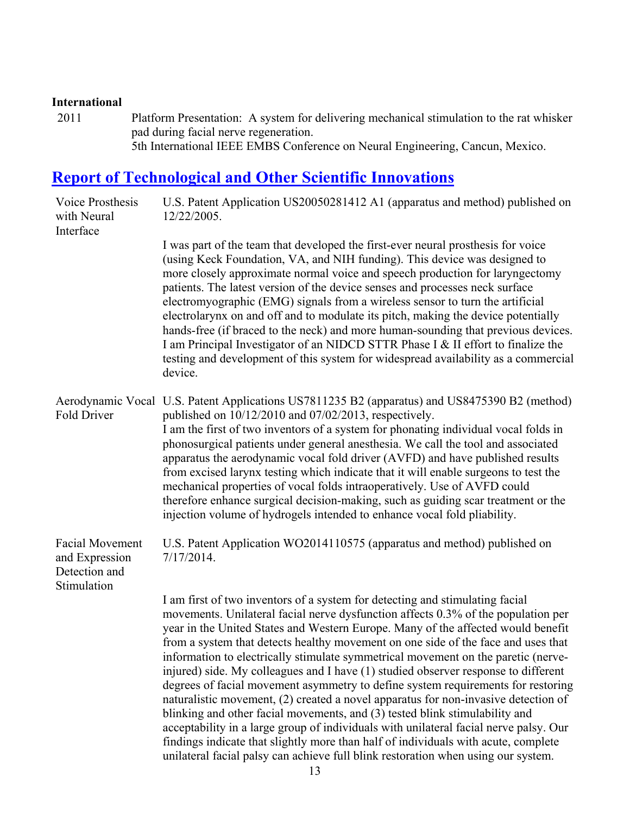#### **International**

2011 Platform Presentation: A system for delivering mechanical stimulation to the rat whisker pad during facial nerve regeneration. 5th International IEEE EMBS Conference on Neural Engineering, Cancun, Mexico.

## **Report of Technological and Other Scientific Innovations**

| Voice Prosthesis<br>with Neural<br>Interface                             | U.S. Patent Application US20050281412 A1 (apparatus and method) published on<br>12/22/2005.                                                                                                                                                                                                                                                                                                                                                                                                                                                                                                                                                                                                                                                                                                                                                                                                                                                                                                                                                        |
|--------------------------------------------------------------------------|----------------------------------------------------------------------------------------------------------------------------------------------------------------------------------------------------------------------------------------------------------------------------------------------------------------------------------------------------------------------------------------------------------------------------------------------------------------------------------------------------------------------------------------------------------------------------------------------------------------------------------------------------------------------------------------------------------------------------------------------------------------------------------------------------------------------------------------------------------------------------------------------------------------------------------------------------------------------------------------------------------------------------------------------------|
|                                                                          | I was part of the team that developed the first-ever neural prosthesis for voice<br>(using Keck Foundation, VA, and NIH funding). This device was designed to<br>more closely approximate normal voice and speech production for laryngectomy<br>patients. The latest version of the device senses and processes neck surface<br>electromyographic (EMG) signals from a wireless sensor to turn the artificial<br>electrolarynx on and off and to modulate its pitch, making the device potentially<br>hands-free (if braced to the neck) and more human-sounding that previous devices.<br>I am Principal Investigator of an NIDCD STTR Phase I & II effort to finalize the<br>testing and development of this system for widespread availability as a commercial<br>device.                                                                                                                                                                                                                                                                      |
| <b>Fold Driver</b>                                                       | Aerodynamic Vocal U.S. Patent Applications US7811235 B2 (apparatus) and US8475390 B2 (method)<br>published on 10/12/2010 and 07/02/2013, respectively.<br>I am the first of two inventors of a system for phonating individual vocal folds in<br>phonosurgical patients under general anesthesia. We call the tool and associated<br>apparatus the aerodynamic vocal fold driver (AVFD) and have published results<br>from excised larynx testing which indicate that it will enable surgeons to test the<br>mechanical properties of vocal folds intraoperatively. Use of AVFD could<br>therefore enhance surgical decision-making, such as guiding scar treatment or the<br>injection volume of hydrogels intended to enhance vocal fold pliability.                                                                                                                                                                                                                                                                                             |
| <b>Facial Movement</b><br>and Expression<br>Detection and<br>Stimulation | U.S. Patent Application WO2014110575 (apparatus and method) published on<br>$7/17/2014$ .                                                                                                                                                                                                                                                                                                                                                                                                                                                                                                                                                                                                                                                                                                                                                                                                                                                                                                                                                          |
|                                                                          | I am first of two inventors of a system for detecting and stimulating facial<br>movements. Unilateral facial nerve dysfunction affects 0.3% of the population per<br>year in the United States and Western Europe. Many of the affected would benefit<br>from a system that detects healthy movement on one side of the face and uses that<br>information to electrically stimulate symmetrical movement on the paretic (nerve-<br>injured) side. My colleagues and I have (1) studied observer response to different<br>degrees of facial movement asymmetry to define system requirements for restoring<br>naturalistic movement, (2) created a novel apparatus for non-invasive detection of<br>blinking and other facial movements, and (3) tested blink stimulability and<br>acceptability in a large group of individuals with unilateral facial nerve palsy. Our<br>findings indicate that slightly more than half of individuals with acute, complete<br>unilateral facial palsy can achieve full blink restoration when using our system. |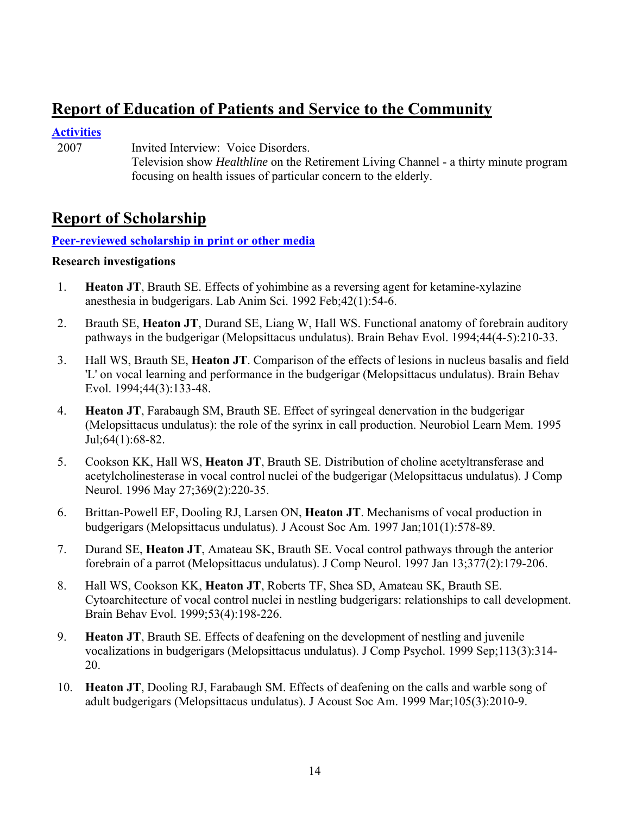## **Report of Education of Patients and Service to the Community**

### **Activities**

2007 Invited Interview: Voice Disorders.

 Television show *Healthline* on the Retirement Living Channel - a thirty minute program focusing on health issues of particular concern to the elderly.

## **Report of Scholarship**

### **Peer-reviewed scholarship in print or other media**

### **Research investigations**

- 1. **Heaton JT**, Brauth SE. Effects of yohimbine as a reversing agent for ketamine-xylazine anesthesia in budgerigars. Lab Anim Sci. 1992 Feb;42(1):54-6.
- 2. Brauth SE, **Heaton JT**, Durand SE, Liang W, Hall WS. Functional anatomy of forebrain auditory pathways in the budgerigar (Melopsittacus undulatus). Brain Behav Evol. 1994;44(4-5):210-33.
- 3. Hall WS, Brauth SE, **Heaton JT**. Comparison of the effects of lesions in nucleus basalis and field 'L' on vocal learning and performance in the budgerigar (Melopsittacus undulatus). Brain Behav Evol. 1994;44(3):133-48.
- 4. **Heaton JT**, Farabaugh SM, Brauth SE. Effect of syringeal denervation in the budgerigar (Melopsittacus undulatus): the role of the syrinx in call production. Neurobiol Learn Mem. 1995 Jul;64(1):68-82.
- 5. Cookson KK, Hall WS, **Heaton JT**, Brauth SE. Distribution of choline acetyltransferase and acetylcholinesterase in vocal control nuclei of the budgerigar (Melopsittacus undulatus). J Comp Neurol. 1996 May 27;369(2):220-35.
- 6. Brittan-Powell EF, Dooling RJ, Larsen ON, **Heaton JT**. Mechanisms of vocal production in budgerigars (Melopsittacus undulatus). J Acoust Soc Am. 1997 Jan;101(1):578-89.
- 7. Durand SE, **Heaton JT**, Amateau SK, Brauth SE. Vocal control pathways through the anterior forebrain of a parrot (Melopsittacus undulatus). J Comp Neurol. 1997 Jan 13;377(2):179-206.
- 8. Hall WS, Cookson KK, **Heaton JT**, Roberts TF, Shea SD, Amateau SK, Brauth SE. Cytoarchitecture of vocal control nuclei in nestling budgerigars: relationships to call development. Brain Behav Evol. 1999;53(4):198-226.
- 9. **Heaton JT**, Brauth SE. Effects of deafening on the development of nestling and juvenile vocalizations in budgerigars (Melopsittacus undulatus). J Comp Psychol. 1999 Sep;113(3):314- 20.
- 10. **Heaton JT**, Dooling RJ, Farabaugh SM. Effects of deafening on the calls and warble song of adult budgerigars (Melopsittacus undulatus). J Acoust Soc Am. 1999 Mar;105(3):2010-9.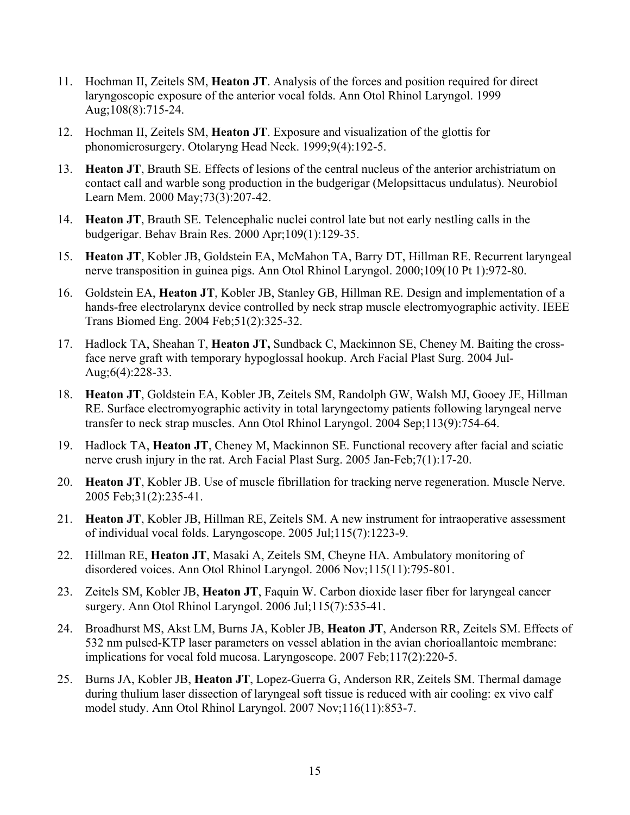- 11. Hochman II, Zeitels SM, **Heaton JT**. Analysis of the forces and position required for direct laryngoscopic exposure of the anterior vocal folds. Ann Otol Rhinol Laryngol. 1999 Aug;108(8):715-24.
- 12. Hochman II, Zeitels SM, **Heaton JT**. Exposure and visualization of the glottis for phonomicrosurgery. Otolaryng Head Neck. 1999;9(4):192-5.
- 13. **Heaton JT**, Brauth SE. Effects of lesions of the central nucleus of the anterior archistriatum on contact call and warble song production in the budgerigar (Melopsittacus undulatus). Neurobiol Learn Mem. 2000 May;73(3):207-42.
- 14. **Heaton JT**, Brauth SE. Telencephalic nuclei control late but not early nestling calls in the budgerigar. Behav Brain Res. 2000 Apr;109(1):129-35.
- 15. **Heaton JT**, Kobler JB, Goldstein EA, McMahon TA, Barry DT, Hillman RE. Recurrent laryngeal nerve transposition in guinea pigs. Ann Otol Rhinol Laryngol. 2000;109(10 Pt 1):972-80.
- 16. Goldstein EA, **Heaton JT**, Kobler JB, Stanley GB, Hillman RE. Design and implementation of a hands-free electrolarynx device controlled by neck strap muscle electromyographic activity. IEEE Trans Biomed Eng. 2004 Feb;51(2):325-32.
- 17. Hadlock TA, Sheahan T, **Heaton JT,** Sundback C, Mackinnon SE, Cheney M. Baiting the crossface nerve graft with temporary hypoglossal hookup. Arch Facial Plast Surg. 2004 Jul-Aug;6(4):228-33.
- 18. **Heaton JT**, Goldstein EA, Kobler JB, Zeitels SM, Randolph GW, Walsh MJ, Gooey JE, Hillman RE. Surface electromyographic activity in total laryngectomy patients following laryngeal nerve transfer to neck strap muscles. Ann Otol Rhinol Laryngol. 2004 Sep;113(9):754-64.
- 19. Hadlock TA, **Heaton JT**, Cheney M, Mackinnon SE. Functional recovery after facial and sciatic nerve crush injury in the rat. Arch Facial Plast Surg. 2005 Jan-Feb;7(1):17-20.
- 20. **Heaton JT**, Kobler JB. Use of muscle fibrillation for tracking nerve regeneration. Muscle Nerve. 2005 Feb;31(2):235-41.
- 21. **Heaton JT**, Kobler JB, Hillman RE, Zeitels SM. A new instrument for intraoperative assessment of individual vocal folds. Laryngoscope. 2005 Jul;115(7):1223-9.
- 22. Hillman RE, **Heaton JT**, Masaki A, Zeitels SM, Cheyne HA. Ambulatory monitoring of disordered voices. Ann Otol Rhinol Laryngol. 2006 Nov;115(11):795-801.
- 23. Zeitels SM, Kobler JB, **Heaton JT**, Faquin W. Carbon dioxide laser fiber for laryngeal cancer surgery. Ann Otol Rhinol Laryngol. 2006 Jul;115(7):535-41.
- 24. Broadhurst MS, Akst LM, Burns JA, Kobler JB, **Heaton JT**, Anderson RR, Zeitels SM. Effects of 532 nm pulsed-KTP laser parameters on vessel ablation in the avian chorioallantoic membrane: implications for vocal fold mucosa. Laryngoscope. 2007 Feb;117(2):220-5.
- 25. Burns JA, Kobler JB, **Heaton JT**, Lopez-Guerra G, Anderson RR, Zeitels SM. Thermal damage during thulium laser dissection of laryngeal soft tissue is reduced with air cooling: ex vivo calf model study. Ann Otol Rhinol Laryngol. 2007 Nov;116(11):853-7.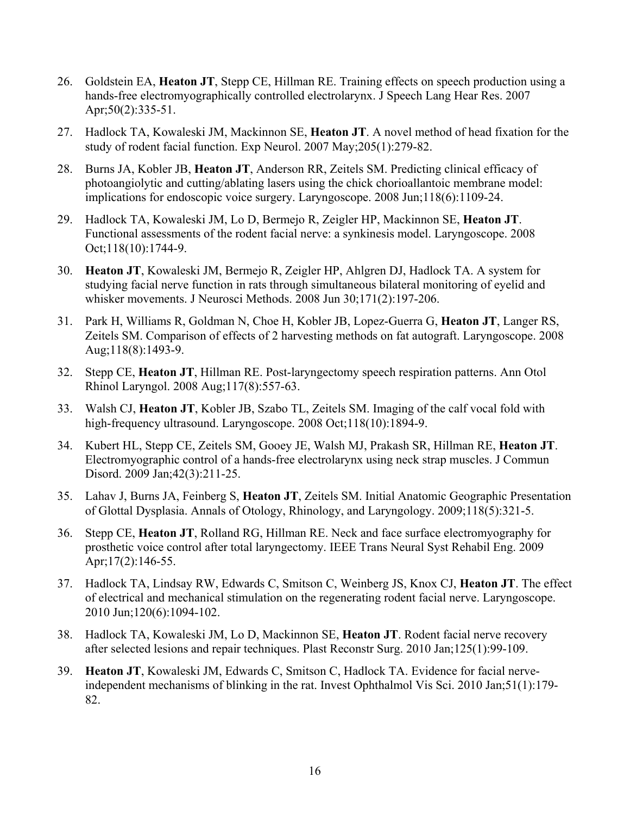- 26. Goldstein EA, **Heaton JT**, Stepp CE, Hillman RE. Training effects on speech production using a hands-free electromyographically controlled electrolarynx. J Speech Lang Hear Res. 2007 Apr;50(2):335-51.
- 27. Hadlock TA, Kowaleski JM, Mackinnon SE, **Heaton JT**. A novel method of head fixation for the study of rodent facial function. Exp Neurol. 2007 May;205(1):279-82.
- 28. Burns JA, Kobler JB, **Heaton JT**, Anderson RR, Zeitels SM. Predicting clinical efficacy of photoangiolytic and cutting/ablating lasers using the chick chorioallantoic membrane model: implications for endoscopic voice surgery. Laryngoscope. 2008 Jun;118(6):1109-24.
- 29. Hadlock TA, Kowaleski JM, Lo D, Bermejo R, Zeigler HP, Mackinnon SE, **Heaton JT**. Functional assessments of the rodent facial nerve: a synkinesis model. Laryngoscope. 2008 Oct;118(10):1744-9.
- 30. **Heaton JT**, Kowaleski JM, Bermejo R, Zeigler HP, Ahlgren DJ, Hadlock TA. A system for studying facial nerve function in rats through simultaneous bilateral monitoring of eyelid and whisker movements. J Neurosci Methods. 2008 Jun 30;171(2):197-206.
- 31. Park H, Williams R, Goldman N, Choe H, Kobler JB, Lopez-Guerra G, **Heaton JT**, Langer RS, Zeitels SM. Comparison of effects of 2 harvesting methods on fat autograft. Laryngoscope. 2008 Aug;118(8):1493-9.
- 32. Stepp CE, **Heaton JT**, Hillman RE. Post-laryngectomy speech respiration patterns. Ann Otol Rhinol Laryngol. 2008 Aug;117(8):557-63.
- 33. Walsh CJ, **Heaton JT**, Kobler JB, Szabo TL, Zeitels SM. Imaging of the calf vocal fold with high-frequency ultrasound. Laryngoscope. 2008 Oct:118(10):1894-9.
- 34. Kubert HL, Stepp CE, Zeitels SM, Gooey JE, Walsh MJ, Prakash SR, Hillman RE, **Heaton JT**. Electromyographic control of a hands-free electrolarynx using neck strap muscles. J Commun Disord. 2009 Jan;42(3):211-25.
- 35. Lahav J, Burns JA, Feinberg S, **Heaton JT**, Zeitels SM. Initial Anatomic Geographic Presentation of Glottal Dysplasia. Annals of Otology, Rhinology, and Laryngology. 2009;118(5):321-5.
- 36. Stepp CE, **Heaton JT**, Rolland RG, Hillman RE. Neck and face surface electromyography for prosthetic voice control after total laryngectomy. IEEE Trans Neural Syst Rehabil Eng. 2009 Apr; 17(2): 146-55.
- 37. Hadlock TA, Lindsay RW, Edwards C, Smitson C, Weinberg JS, Knox CJ, **Heaton JT**. The effect of electrical and mechanical stimulation on the regenerating rodent facial nerve. Laryngoscope. 2010 Jun;120(6):1094-102.
- 38. Hadlock TA, Kowaleski JM, Lo D, Mackinnon SE, **Heaton JT**. Rodent facial nerve recovery after selected lesions and repair techniques. Plast Reconstr Surg. 2010 Jan;125(1):99-109.
- 39. **Heaton JT**, Kowaleski JM, Edwards C, Smitson C, Hadlock TA. Evidence for facial nerveindependent mechanisms of blinking in the rat. Invest Ophthalmol Vis Sci. 2010 Jan;51(1):179- 82.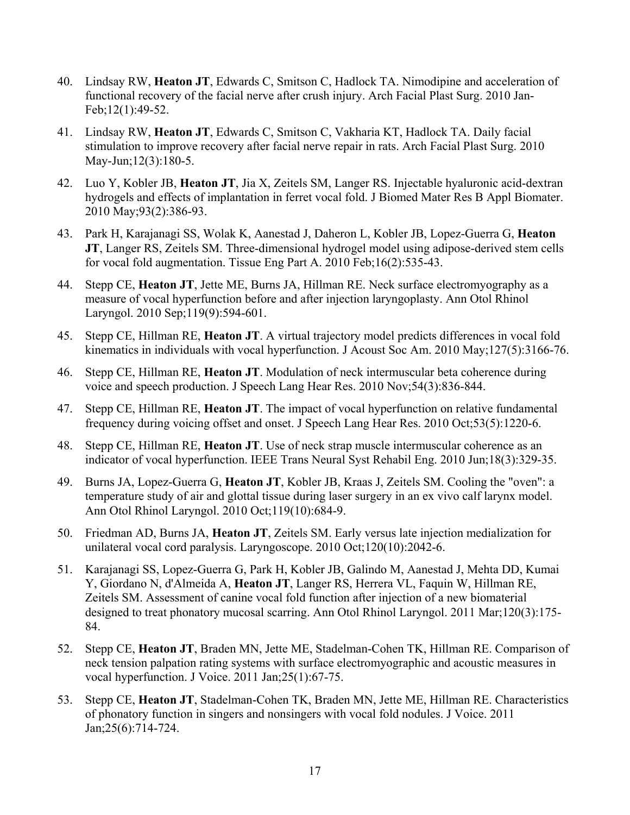- 40. Lindsay RW, **Heaton JT**, Edwards C, Smitson C, Hadlock TA. Nimodipine and acceleration of functional recovery of the facial nerve after crush injury. Arch Facial Plast Surg. 2010 Jan-Feb;12(1):49-52.
- 41. Lindsay RW, **Heaton JT**, Edwards C, Smitson C, Vakharia KT, Hadlock TA. Daily facial stimulation to improve recovery after facial nerve repair in rats. Arch Facial Plast Surg. 2010 May-Jun;12(3):180-5.
- 42. Luo Y, Kobler JB, **Heaton JT**, Jia X, Zeitels SM, Langer RS. Injectable hyaluronic acid-dextran hydrogels and effects of implantation in ferret vocal fold. J Biomed Mater Res B Appl Biomater. 2010 May;93(2):386-93.
- 43. Park H, Karajanagi SS, Wolak K, Aanestad J, Daheron L, Kobler JB, Lopez-Guerra G, **Heaton JT**, Langer RS, Zeitels SM. Three-dimensional hydrogel model using adipose-derived stem cells for vocal fold augmentation. Tissue Eng Part A. 2010 Feb;16(2):535-43.
- 44. Stepp CE, **Heaton JT**, Jette ME, Burns JA, Hillman RE. Neck surface electromyography as a measure of vocal hyperfunction before and after injection laryngoplasty. Ann Otol Rhinol Laryngol. 2010 Sep;119(9):594-601.
- 45. Stepp CE, Hillman RE, **Heaton JT**. A virtual trajectory model predicts differences in vocal fold kinematics in individuals with vocal hyperfunction. J Acoust Soc Am. 2010 May;127(5):3166-76.
- 46. Stepp CE, Hillman RE, **Heaton JT**. Modulation of neck intermuscular beta coherence during voice and speech production. J Speech Lang Hear Res. 2010 Nov;54(3):836-844.
- 47. Stepp CE, Hillman RE, **Heaton JT**. The impact of vocal hyperfunction on relative fundamental frequency during voicing offset and onset. J Speech Lang Hear Res. 2010 Oct;53(5):1220-6.
- 48. Stepp CE, Hillman RE, **Heaton JT**. Use of neck strap muscle intermuscular coherence as an indicator of vocal hyperfunction. IEEE Trans Neural Syst Rehabil Eng. 2010 Jun;18(3):329-35.
- 49. Burns JA, Lopez-Guerra G, **Heaton JT**, Kobler JB, Kraas J, Zeitels SM. Cooling the "oven": a temperature study of air and glottal tissue during laser surgery in an ex vivo calf larynx model. Ann Otol Rhinol Laryngol. 2010 Oct;119(10):684-9.
- 50. Friedman AD, Burns JA, **Heaton JT**, Zeitels SM. Early versus late injection medialization for unilateral vocal cord paralysis. Laryngoscope. 2010 Oct;120(10):2042-6.
- 51. Karajanagi SS, Lopez-Guerra G, Park H, Kobler JB, Galindo M, Aanestad J, Mehta DD, Kumai Y, Giordano N, d'Almeida A, **Heaton JT**, Langer RS, Herrera VL, Faquin W, Hillman RE, Zeitels SM. Assessment of canine vocal fold function after injection of a new biomaterial designed to treat phonatory mucosal scarring. Ann Otol Rhinol Laryngol. 2011 Mar;120(3):175- 84.
- 52. Stepp CE, **Heaton JT**, Braden MN, Jette ME, Stadelman-Cohen TK, Hillman RE. Comparison of neck tension palpation rating systems with surface electromyographic and acoustic measures in vocal hyperfunction. J Voice. 2011 Jan;25(1):67-75.
- 53. Stepp CE, **Heaton JT**, Stadelman-Cohen TK, Braden MN, Jette ME, Hillman RE. Characteristics of phonatory function in singers and nonsingers with vocal fold nodules. J Voice. 2011 Jan;25(6):714-724.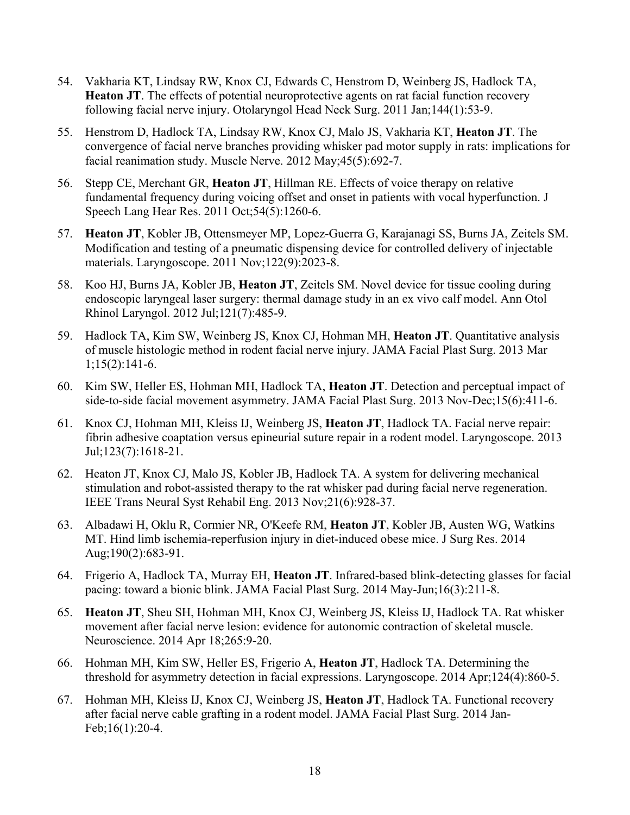- 54. Vakharia KT, Lindsay RW, Knox CJ, Edwards C, Henstrom D, Weinberg JS, Hadlock TA, **Heaton JT**. The effects of potential neuroprotective agents on rat facial function recovery following facial nerve injury. Otolaryngol Head Neck Surg. 2011 Jan;144(1):53-9.
- 55. Henstrom D, Hadlock TA, Lindsay RW, Knox CJ, Malo JS, Vakharia KT, **Heaton JT**. The convergence of facial nerve branches providing whisker pad motor supply in rats: implications for facial reanimation study. Muscle Nerve. 2012 May;45(5):692-7.
- 56. Stepp CE, Merchant GR, **Heaton JT**, Hillman RE. Effects of voice therapy on relative fundamental frequency during voicing offset and onset in patients with vocal hyperfunction. J Speech Lang Hear Res. 2011 Oct;54(5):1260-6.
- 57. **Heaton JT**, Kobler JB, Ottensmeyer MP, Lopez-Guerra G, Karajanagi SS, Burns JA, Zeitels SM. Modification and testing of a pneumatic dispensing device for controlled delivery of injectable materials. Laryngoscope. 2011 Nov;122(9):2023-8.
- 58. Koo HJ, Burns JA, Kobler JB, **Heaton JT**, Zeitels SM. Novel device for tissue cooling during endoscopic laryngeal laser surgery: thermal damage study in an ex vivo calf model. Ann Otol Rhinol Laryngol. 2012 Jul;121(7):485-9.
- 59. Hadlock TA, Kim SW, Weinberg JS, Knox CJ, Hohman MH, **Heaton JT**. Quantitative analysis of muscle histologic method in rodent facial nerve injury. JAMA Facial Plast Surg. 2013 Mar 1;15(2):141-6.
- 60. Kim SW, Heller ES, Hohman MH, Hadlock TA, **Heaton JT**. Detection and perceptual impact of side-to-side facial movement asymmetry. JAMA Facial Plast Surg. 2013 Nov-Dec;15(6):411-6.
- 61. Knox CJ, Hohman MH, Kleiss IJ, Weinberg JS, **Heaton JT**, Hadlock TA. Facial nerve repair: fibrin adhesive coaptation versus epineurial suture repair in a rodent model. Laryngoscope. 2013 Jul;123(7):1618-21.
- 62. Heaton JT, Knox CJ, Malo JS, Kobler JB, Hadlock TA. A system for delivering mechanical stimulation and robot-assisted therapy to the rat whisker pad during facial nerve regeneration. IEEE Trans Neural Syst Rehabil Eng. 2013 Nov;21(6):928-37.
- 63. Albadawi H, Oklu R, Cormier NR, O'Keefe RM, **Heaton JT**, Kobler JB, Austen WG, Watkins MT. Hind limb ischemia-reperfusion injury in diet-induced obese mice. J Surg Res. 2014 Aug;190(2):683-91.
- 64. Frigerio A, Hadlock TA, Murray EH, **Heaton JT**. Infrared-based blink-detecting glasses for facial pacing: toward a bionic blink. JAMA Facial Plast Surg. 2014 May-Jun;16(3):211-8.
- 65. **Heaton JT**, Sheu SH, Hohman MH, Knox CJ, Weinberg JS, Kleiss IJ, Hadlock TA. Rat whisker movement after facial nerve lesion: evidence for autonomic contraction of skeletal muscle. Neuroscience. 2014 Apr 18;265:9-20.
- 66. Hohman MH, Kim SW, Heller ES, Frigerio A, **Heaton JT**, Hadlock TA. Determining the threshold for asymmetry detection in facial expressions. Laryngoscope. 2014 Apr;124(4):860-5.
- 67. Hohman MH, Kleiss IJ, Knox CJ, Weinberg JS, **Heaton JT**, Hadlock TA. Functional recovery after facial nerve cable grafting in a rodent model. JAMA Facial Plast Surg. 2014 Jan-Feb;16(1):20-4.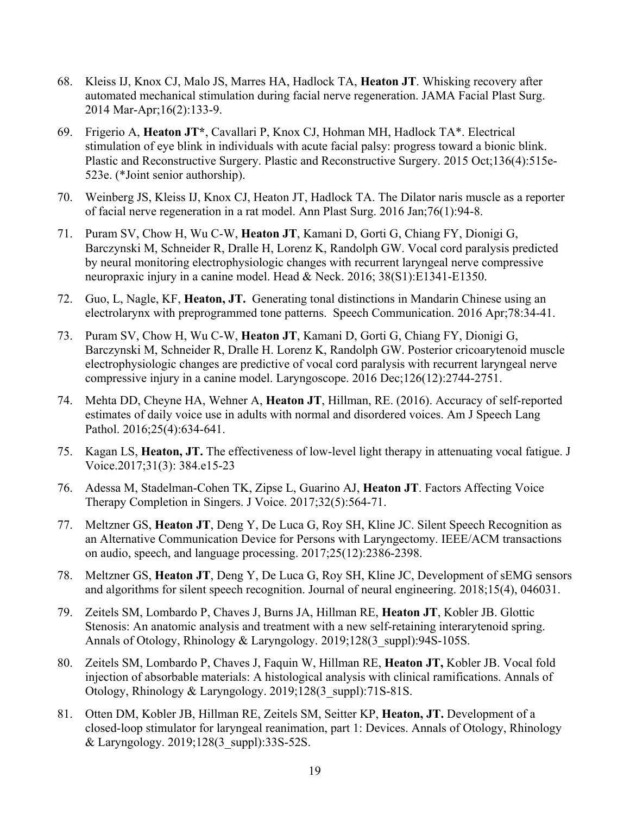- 68. Kleiss IJ, Knox CJ, Malo JS, Marres HA, Hadlock TA, **Heaton JT**. Whisking recovery after automated mechanical stimulation during facial nerve regeneration. JAMA Facial Plast Surg. 2014 Mar-Apr;16(2):133-9.
- 69. Frigerio A, **Heaton JT\***, Cavallari P, Knox CJ, Hohman MH, Hadlock TA\*. Electrical stimulation of eye blink in individuals with acute facial palsy: progress toward a bionic blink. Plastic and Reconstructive Surgery. Plastic and Reconstructive Surgery. 2015 Oct;136(4):515e-523e. (\*Joint senior authorship).
- 70. Weinberg JS, Kleiss IJ, Knox CJ, Heaton JT, Hadlock TA. The Dilator naris muscle as a reporter of facial nerve regeneration in a rat model. Ann Plast Surg. 2016 Jan;76(1):94-8.
- 71. Puram SV, Chow H, Wu C-W, **Heaton JT**, Kamani D, Gorti G, Chiang FY, Dionigi G, Barczynski M, Schneider R, Dralle H, Lorenz K, Randolph GW. Vocal cord paralysis predicted by neural monitoring electrophysiologic changes with recurrent laryngeal nerve compressive neuropraxic injury in a canine model. Head & Neck. 2016; 38(S1):E1341-E1350.
- 72. Guo, L, Nagle, KF, **Heaton, JT.** Generating tonal distinctions in Mandarin Chinese using an electrolarynx with preprogrammed tone patterns. Speech Communication. 2016 Apr;78:34-41.
- 73. Puram SV, Chow H, Wu C-W, **Heaton JT**, Kamani D, Gorti G, Chiang FY, Dionigi G, Barczynski M, Schneider R, Dralle H. Lorenz K, Randolph GW. Posterior cricoarytenoid muscle electrophysiologic changes are predictive of vocal cord paralysis with recurrent laryngeal nerve compressive injury in a canine model. Laryngoscope. 2016 Dec;126(12):2744-2751.
- 74. Mehta DD, Cheyne HA, Wehner A, **Heaton JT**, Hillman, RE. (2016). Accuracy of self-reported estimates of daily voice use in adults with normal and disordered voices. Am J Speech Lang Pathol. 2016;25(4):634-641.
- 75. Kagan LS, **Heaton, JT.** The effectiveness of low-level light therapy in attenuating vocal fatigue. J Voice.2017;31(3): 384.e15-23
- 76. Adessa M, Stadelman-Cohen TK, Zipse L, Guarino AJ, **Heaton JT**. Factors Affecting Voice Therapy Completion in Singers. J Voice. 2017;32(5):564-71.
- 77. Meltzner GS, **Heaton JT**, Deng Y, De Luca G, Roy SH, Kline JC. Silent Speech Recognition as an Alternative Communication Device for Persons with Laryngectomy. IEEE/ACM transactions on audio, speech, and language processing. 2017;25(12):2386-2398.
- 78. Meltzner GS, **Heaton JT**, Deng Y, De Luca G, Roy SH, Kline JC, Development of sEMG sensors and algorithms for silent speech recognition. Journal of neural engineering. 2018;15(4), 046031.
- 79. Zeitels SM, Lombardo P, Chaves J, Burns JA, Hillman RE, **Heaton JT**, Kobler JB. Glottic Stenosis: An anatomic analysis and treatment with a new self-retaining interarytenoid spring. Annals of Otology, Rhinology & Laryngology. 2019;128(3\_suppl):94S-105S.
- 80. Zeitels SM, Lombardo P, Chaves J, Faquin W, Hillman RE, **Heaton JT,** Kobler JB. Vocal fold injection of absorbable materials: A histological analysis with clinical ramifications. Annals of Otology, Rhinology & Laryngology. 2019;128(3\_suppl):71S-81S.
- 81. Otten DM, Kobler JB, Hillman RE, Zeitels SM, Seitter KP, **Heaton, JT.** Development of a closed-loop stimulator for laryngeal reanimation, part 1: Devices. Annals of Otology, Rhinology & Laryngology. 2019;128(3\_suppl):33S-52S.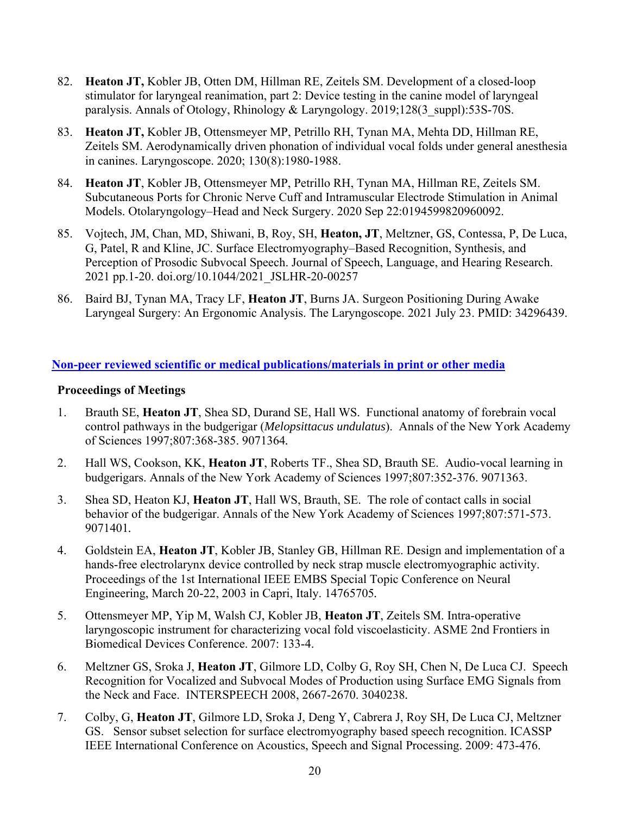- 82. **Heaton JT,** Kobler JB, Otten DM, Hillman RE, Zeitels SM. Development of a closed-loop stimulator for laryngeal reanimation, part 2: Device testing in the canine model of laryngeal paralysis. Annals of Otology, Rhinology & Laryngology. 2019;128(3\_suppl):53S-70S.
- 83. **Heaton JT,** Kobler JB, Ottensmeyer MP, Petrillo RH, Tynan MA, Mehta DD, Hillman RE, Zeitels SM. Aerodynamically driven phonation of individual vocal folds under general anesthesia in canines. Laryngoscope. 2020; 130(8):1980-1988.
- 84. **Heaton JT**, Kobler JB, Ottensmeyer MP, Petrillo RH, Tynan MA, Hillman RE, Zeitels SM. Subcutaneous Ports for Chronic Nerve Cuff and Intramuscular Electrode Stimulation in Animal Models. Otolaryngology–Head and Neck Surgery. 2020 Sep 22:0194599820960092.
- 85. Vojtech, JM, Chan, MD, Shiwani, B, Roy, SH, **Heaton, JT**, Meltzner, GS, Contessa, P, De Luca, G, Patel, R and Kline, JC. Surface Electromyography–Based Recognition, Synthesis, and Perception of Prosodic Subvocal Speech. Journal of Speech, Language, and Hearing Research. 2021 pp.1-20. doi.org/10.1044/2021\_JSLHR-20-00257
- 86. Baird BJ, Tynan MA, Tracy LF, **Heaton JT**, Burns JA. Surgeon Positioning During Awake Laryngeal Surgery: An Ergonomic Analysis. The Laryngoscope. 2021 July 23. PMID: 34296439.

### **Non-peer reviewed scientific or medical publications/materials in print or other media**

### **Proceedings of Meetings**

- 1. Brauth SE, **Heaton JT**, Shea SD, Durand SE, Hall WS. Functional anatomy of forebrain vocal control pathways in the budgerigar (*Melopsittacus undulatus*). Annals of the New York Academy of Sciences 1997;807:368-385. 9071364*.*
- 2. Hall WS, Cookson, KK, **Heaton JT**, Roberts TF., Shea SD, Brauth SE. Audio-vocal learning in budgerigars. Annals of the New York Academy of Sciences 1997;807:352-376. 9071363.
- 3. Shea SD, Heaton KJ, **Heaton JT**, Hall WS, Brauth, SE. The role of contact calls in social behavior of the budgerigar. Annals of the New York Academy of Sciences 1997;807:571-573. 9071401*.*
- 4. Goldstein EA, **Heaton JT**, Kobler JB, Stanley GB, Hillman RE. Design and implementation of a hands-free electrolarynx device controlled by neck strap muscle electromyographic activity. Proceedings of the 1st International IEEE EMBS Special Topic Conference on Neural Engineering, March 20-22, 2003 in Capri, Italy. 14765705*.*
- 5. Ottensmeyer MP, Yip M, Walsh CJ, Kobler JB, **Heaton JT**, Zeitels SM. Intra-operative laryngoscopic instrument for characterizing vocal fold viscoelasticity. ASME 2nd Frontiers in Biomedical Devices Conference. 2007: 133-4.
- 6. Meltzner GS, Sroka J, **Heaton JT**, Gilmore LD, Colby G, Roy SH, Chen N, De Luca CJ. Speech Recognition for Vocalized and Subvocal Modes of Production using Surface EMG Signals from the Neck and Face. INTERSPEECH 2008, 2667-2670. 3040238*.*
- 7. Colby, G, **Heaton JT**, Gilmore LD, Sroka J, Deng Y, Cabrera J, Roy SH, De Luca CJ, Meltzner GS. Sensor subset selection for surface electromyography based speech recognition. ICASSP IEEE International Conference on Acoustics, Speech and Signal Processing. 2009: 473-476.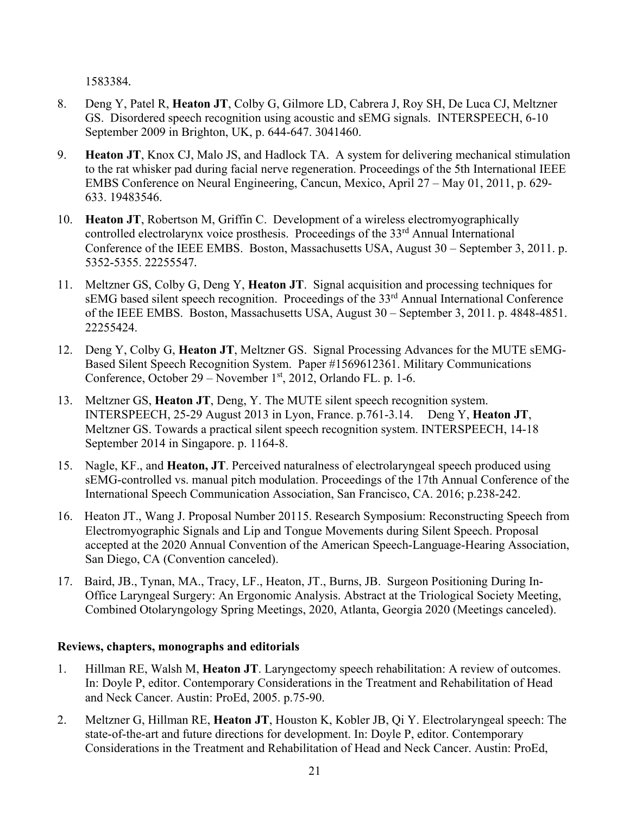1583384*.*

- 8. Deng Y, Patel R, **Heaton JT**, Colby G, Gilmore LD, Cabrera J, Roy SH, De Luca CJ, Meltzner GS. Disordered speech recognition using acoustic and sEMG signals. INTERSPEECH, 6-10 September 2009 in Brighton, UK, p. 644-647. 3041460.
- 9. **Heaton JT**, Knox CJ, Malo JS, and Hadlock TA. A system for delivering mechanical stimulation to the rat whisker pad during facial nerve regeneration. Proceedings of the 5th International IEEE EMBS Conference on Neural Engineering, Cancun, Mexico, April 27 – May 01, 2011, p. 629- 633. 19483546.
- 10. **Heaton JT**, Robertson M, Griffin C. Development of a wireless electromyographically controlled electrolarynx voice prosthesis. Proceedings of the 33<sup>rd</sup> Annual International Conference of the IEEE EMBS. Boston, Massachusetts USA, August 30 – September 3, 2011. p. 5352-5355. 22255547*.*
- 11. Meltzner GS, Colby G, Deng Y, **Heaton JT**. Signal acquisition and processing techniques for sEMG based silent speech recognition. Proceedings of the 33<sup>rd</sup> Annual International Conference of the IEEE EMBS. Boston, Massachusetts USA, August 30 – September 3, 2011. p. 4848-4851. 22255424.
- 12. Deng Y, Colby G, **Heaton JT**, Meltzner GS. Signal Processing Advances for the MUTE sEMG-Based Silent Speech Recognition System. Paper #1569612361. Military Communications Conference, October 29 – November 1<sup>st</sup>, 2012, Orlando FL. p. 1-6.
- 13. Meltzner GS, **Heaton JT**, Deng, Y. The MUTE silent speech recognition system. INTERSPEECH, 25-29 August 2013 in Lyon, France. p.761-3.14. Deng Y, **Heaton JT**, Meltzner GS. Towards a practical silent speech recognition system. INTERSPEECH, 14-18 September 2014 in Singapore. p. 1164-8.
- 15. Nagle, KF., and **Heaton, JT**. Perceived naturalness of electrolaryngeal speech produced using sEMG-controlled vs. manual pitch modulation. Proceedings of the 17th Annual Conference of the International Speech Communication Association, San Francisco, CA. 2016; p.238-242.
- 16. Heaton JT., Wang J. Proposal Number 20115. Research Symposium: Reconstructing Speech from Electromyographic Signals and Lip and Tongue Movements during Silent Speech. Proposal accepted at the 2020 Annual Convention of the American Speech-Language-Hearing Association, San Diego, CA (Convention canceled).
- 17. Baird, JB., Tynan, MA., Tracy, LF., Heaton, JT., Burns, JB. Surgeon Positioning During In-Office Laryngeal Surgery: An Ergonomic Analysis. Abstract at the Triological Society Meeting, Combined Otolaryngology Spring Meetings, 2020, Atlanta, Georgia 2020 (Meetings canceled).

### **Reviews, chapters, monographs and editorials**

- 1. Hillman RE, Walsh M, **Heaton JT**. Laryngectomy speech rehabilitation: A review of outcomes. In: Doyle P, editor. Contemporary Considerations in the Treatment and Rehabilitation of Head and Neck Cancer. Austin: ProEd, 2005. p.75-90.
- 2. Meltzner G, Hillman RE, **Heaton JT**, Houston K, Kobler JB, Qi Y. Electrolaryngeal speech: The state-of-the-art and future directions for development. In: Doyle P, editor. Contemporary Considerations in the Treatment and Rehabilitation of Head and Neck Cancer. Austin: ProEd,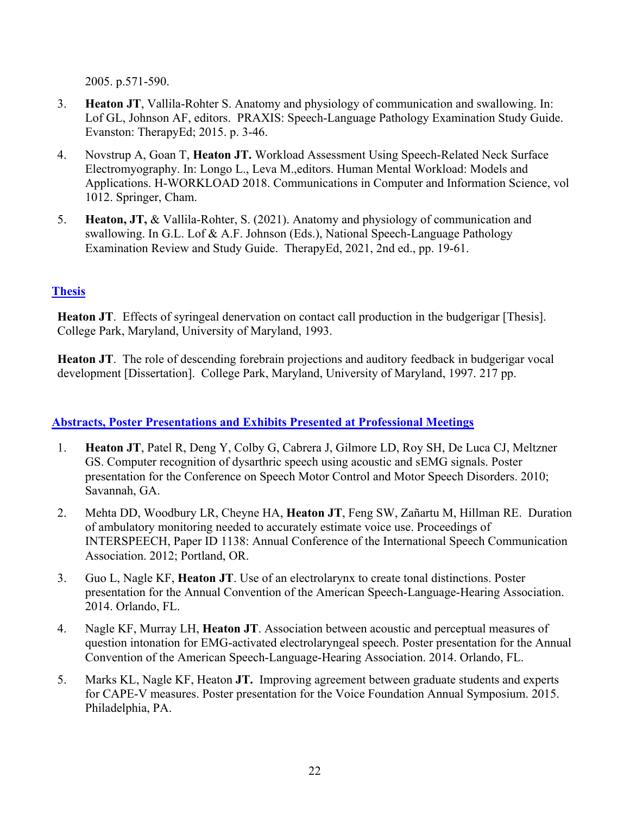2005. p.571-590.

- 3. **Heaton JT**, Vallila-Rohter S. Anatomy and physiology of communication and swallowing. In: Lof GL, Johnson AF, editors. PRAXIS: Speech-Language Pathology Examination Study Guide. Evanston: TherapyEd; 2015. p. 3-46.
- 4. Novstrup A, Goan T, **Heaton JT.** Workload Assessment Using Speech-Related Neck Surface Electromyography. In: Longo L., Leva M.,editors. Human Mental Workload: Models and Applications. H-WORKLOAD 2018. Communications in Computer and Information Science, vol 1012. Springer, Cham.
- 5. **Heaton, JT,** & Vallila-Rohter, S. (2021). Anatomy and physiology of communication and swallowing. In G.L. Lof & A.F. Johnson (Eds.), National Speech-Language Pathology Examination Review and Study Guide. TherapyEd, 2021, 2nd ed., pp. 19-61.

### **Thesis**

**Heaton JT**. Effects of syringeal denervation on contact call production in the budgerigar [Thesis]. College Park, Maryland, University of Maryland, 1993.

**Heaton JT**. The role of descending forebrain projections and auditory feedback in budgerigar vocal development [Dissertation]. College Park, Maryland, University of Maryland, 1997. 217 pp.

### **Abstracts, Poster Presentations and Exhibits Presented at Professional Meetings**

- 1. **Heaton JT**, Patel R, Deng Y, Colby G, Cabrera J, Gilmore LD, Roy SH, De Luca CJ, Meltzner GS. Computer recognition of dysarthric speech using acoustic and sEMG signals. Poster presentation for the Conference on Speech Motor Control and Motor Speech Disorders. 2010; Savannah, GA.
- 2. Mehta DD, Woodbury LR, Cheyne HA, **Heaton JT**, Feng SW, Zañartu M, Hillman RE. Duration of ambulatory monitoring needed to accurately estimate voice use. Proceedings of INTERSPEECH, Paper ID 1138: Annual Conference of the International Speech Communication Association. 2012; Portland, OR.
- 3. Guo L, Nagle KF, **Heaton JT**. Use of an electrolarynx to create tonal distinctions. Poster presentation for the Annual Convention of the American Speech-Language-Hearing Association. 2014. Orlando, FL.
- 4. Nagle KF, Murray LH, **Heaton JT**. Association between acoustic and perceptual measures of question intonation for EMG-activated electrolaryngeal speech. Poster presentation for the Annual Convention of the American Speech-Language-Hearing Association. 2014. Orlando, FL.
- 5. Marks KL, Nagle KF, Heaton **JT.** Improving agreement between graduate students and experts for CAPE-V measures. Poster presentation for the Voice Foundation Annual Symposium. 2015. Philadelphia, PA.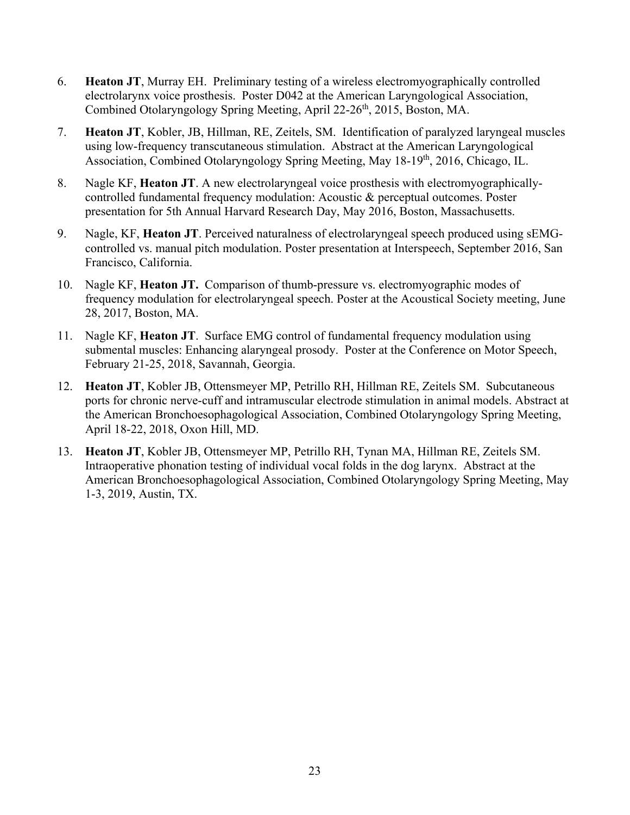- 6. **Heaton JT**, Murray EH. Preliminary testing of a wireless electromyographically controlled electrolarynx voice prosthesis. Poster D042 at the American Laryngological Association, Combined Otolaryngology Spring Meeting, April 22-26<sup>th</sup>, 2015, Boston, MA.
- 7. **Heaton JT**, Kobler, JB, Hillman, RE, Zeitels, SM. Identification of paralyzed laryngeal muscles using low-frequency transcutaneous stimulation. Abstract at the American Laryngological Association, Combined Otolaryngology Spring Meeting, May 18-19<sup>th</sup>, 2016, Chicago, IL.
- 8. Nagle KF, **Heaton JT**. A new electrolaryngeal voice prosthesis with electromyographicallycontrolled fundamental frequency modulation: Acoustic & perceptual outcomes. Poster presentation for 5th Annual Harvard Research Day, May 2016, Boston, Massachusetts.
- 9. Nagle, KF, **Heaton JT**. Perceived naturalness of electrolaryngeal speech produced using sEMGcontrolled vs. manual pitch modulation. Poster presentation at Interspeech, September 2016, San Francisco, California.
- 10. Nagle KF, **Heaton JT.** Comparison of thumb-pressure vs. electromyographic modes of frequency modulation for electrolaryngeal speech. Poster at the Acoustical Society meeting, June 28, 2017, Boston, MA.
- 11. Nagle KF, **Heaton JT**. Surface EMG control of fundamental frequency modulation using submental muscles: Enhancing alaryngeal prosody. Poster at the Conference on Motor Speech, February 21-25, 2018, Savannah, Georgia.
- 12. **Heaton JT**, Kobler JB, Ottensmeyer MP, Petrillo RH, Hillman RE, Zeitels SM. Subcutaneous ports for chronic nerve-cuff and intramuscular electrode stimulation in animal models. Abstract at the American Bronchoesophagological Association, Combined Otolaryngology Spring Meeting, April 18-22, 2018, Oxon Hill, MD.
- 13. **Heaton JT**, Kobler JB, Ottensmeyer MP, Petrillo RH, Tynan MA, Hillman RE, Zeitels SM. Intraoperative phonation testing of individual vocal folds in the dog larynx. Abstract at the American Bronchoesophagological Association, Combined Otolaryngology Spring Meeting, May 1-3, 2019, Austin, TX.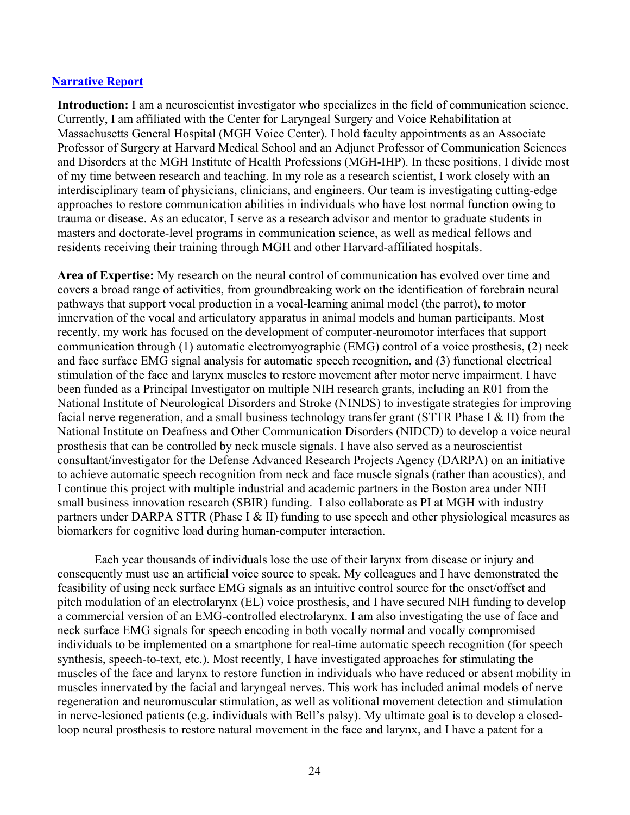#### **Narrative Report**

**Introduction:** I am a neuroscientist investigator who specializes in the field of communication science. Currently, I am affiliated with the Center for Laryngeal Surgery and Voice Rehabilitation at Massachusetts General Hospital (MGH Voice Center). I hold faculty appointments as an Associate Professor of Surgery at Harvard Medical School and an Adjunct Professor of Communication Sciences and Disorders at the MGH Institute of Health Professions (MGH-IHP). In these positions, I divide most of my time between research and teaching. In my role as a research scientist, I work closely with an interdisciplinary team of physicians, clinicians, and engineers. Our team is investigating cutting-edge approaches to restore communication abilities in individuals who have lost normal function owing to trauma or disease. As an educator, I serve as a research advisor and mentor to graduate students in masters and doctorate-level programs in communication science, as well as medical fellows and residents receiving their training through MGH and other Harvard-affiliated hospitals.

**Area of Expertise:** My research on the neural control of communication has evolved over time and covers a broad range of activities, from groundbreaking work on the identification of forebrain neural pathways that support vocal production in a vocal-learning animal model (the parrot), to motor innervation of the vocal and articulatory apparatus in animal models and human participants. Most recently, my work has focused on the development of computer-neuromotor interfaces that support communication through (1) automatic electromyographic (EMG) control of a voice prosthesis, (2) neck and face surface EMG signal analysis for automatic speech recognition, and (3) functional electrical stimulation of the face and larynx muscles to restore movement after motor nerve impairment. I have been funded as a Principal Investigator on multiple NIH research grants, including an R01 from the National Institute of Neurological Disorders and Stroke (NINDS) to investigate strategies for improving facial nerve regeneration, and a small business technology transfer grant (STTR Phase I & II) from the National Institute on Deafness and Other Communication Disorders (NIDCD) to develop a voice neural prosthesis that can be controlled by neck muscle signals. I have also served as a neuroscientist consultant/investigator for the Defense Advanced Research Projects Agency (DARPA) on an initiative to achieve automatic speech recognition from neck and face muscle signals (rather than acoustics), and I continue this project with multiple industrial and academic partners in the Boston area under NIH small business innovation research (SBIR) funding. I also collaborate as PI at MGH with industry partners under DARPA STTR (Phase I & II) funding to use speech and other physiological measures as biomarkers for cognitive load during human-computer interaction.

 Each year thousands of individuals lose the use of their larynx from disease or injury and consequently must use an artificial voice source to speak. My colleagues and I have demonstrated the feasibility of using neck surface EMG signals as an intuitive control source for the onset/offset and pitch modulation of an electrolarynx (EL) voice prosthesis, and I have secured NIH funding to develop a commercial version of an EMG-controlled electrolarynx. I am also investigating the use of face and neck surface EMG signals for speech encoding in both vocally normal and vocally compromised individuals to be implemented on a smartphone for real-time automatic speech recognition (for speech synthesis, speech-to-text, etc.). Most recently, I have investigated approaches for stimulating the muscles of the face and larynx to restore function in individuals who have reduced or absent mobility in muscles innervated by the facial and laryngeal nerves. This work has included animal models of nerve regeneration and neuromuscular stimulation, as well as volitional movement detection and stimulation in nerve-lesioned patients (e.g. individuals with Bell's palsy). My ultimate goal is to develop a closedloop neural prosthesis to restore natural movement in the face and larynx, and I have a patent for a